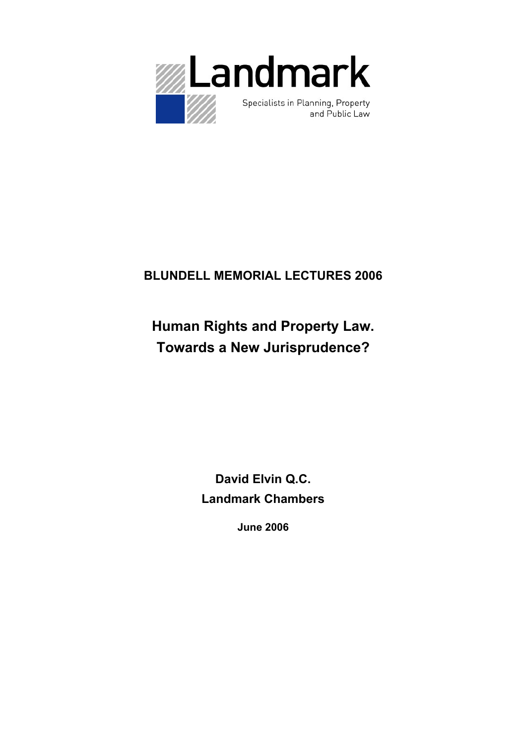

## **BLUNDELL MEMORIAL LECTURES 2006**

# **Human Rights and Property Law. Towards a New Jurisprudence?**

## **David Elvin Q.C. Landmark Chambers**

**June 2006**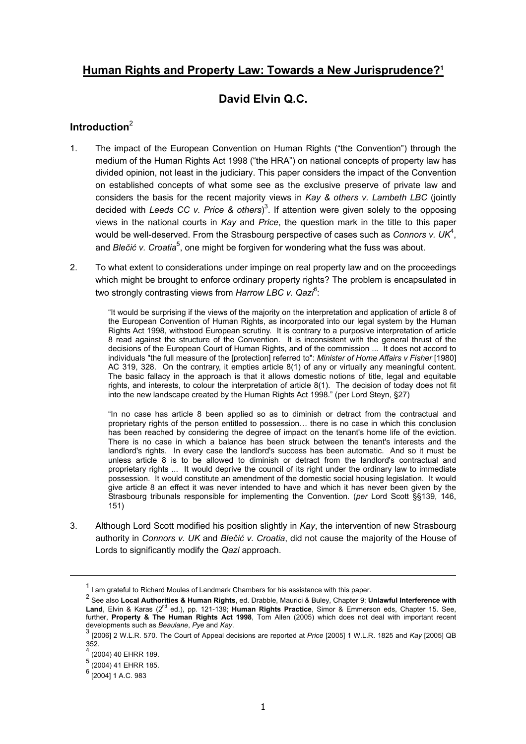## **Human Rights and Property Law: Towards a New Jurisprudence?1**

## **David Elvin Q.C.**

### **Introduction**<sup>2</sup>

- 1. The impact of the European Convention on Human Rights ("the Convention") through the medium of the Human Rights Act 1998 ("the HRA") on national concepts of property law has divided opinion, not least in the judiciary. This paper considers the impact of the Convention on established concepts of what some see as the exclusive preserve of private law and considers the basis for the recent majority views in *Kay & others v. Lambeth LBC* (jointly decided with *Leeds CC v. Price & others*) 3 . If attention were given solely to the opposing views in the national courts in *Kay* and *Price*, the question mark in the title to this paper would be well-deserved. From the Strasbourg perspective of cases such as *Connors v. UK*<sup>4</sup>, and *Blečić v. Croatia*<sup>5</sup> , one might be forgiven for wondering what the fuss was about.
- 2. To what extent to considerations under impinge on real property law and on the proceedings which might be brought to enforce ordinary property rights? The problem is encapsulated in two strongly contrasting views from Harrow LBC v. Qazi<sup>6</sup>:

"It would be surprising if the views of the majority on the interpretation and application of article 8 of the European Convention of Human Rights, as incorporated into our legal system by the Human Rights Act 1998, withstood European scrutiny. It is contrary to a purposive interpretation of article 8 read against the structure of the Convention. It is inconsistent with the general thrust of the decisions of the European Court of Human Rights, and of the commission ... It does not accord to individuals "the full measure of the [protection] referred to": *Minister of Home Affairs v Fisher* [1980] AC 319, 328. On the contrary, it empties article 8(1) of any or virtually any meaningful content. The basic fallacy in the approach is that it allows domestic notions of title, legal and equitable rights, and interests, to colour the interpretation of article 8(1). The decision of today does not fit into the new landscape created by the Human Rights Act 1998." (per Lord Steyn, §27)

"In no case has article 8 been applied so as to diminish or detract from the contractual and proprietary rights of the person entitled to possession… there is no case in which this conclusion has been reached by considering the degree of impact on the tenant's home life of the eviction. There is no case in which a balance has been struck between the tenant's interests and the landlord's rights. In every case the landlord's success has been automatic. And so it must be unless article 8 is to be allowed to diminish or detract from the landlord's contractual and proprietary rights ... It would deprive the council of its right under the ordinary law to immediate possession. It would constitute an amendment of the domestic social housing legislation. It would give article 8 an effect it was never intended to have and which it has never been given by the Strasbourg tribunals responsible for implementing the Convention. (*per* Lord Scott §§139, 146, 151)

3. Although Lord Scott modified his position slightly in *Kay*, the intervention of new Strasbourg authority in *Connors v. UK* and *Blečić v. Croatia*, did not cause the majority of the House of Lords to significantly modify the *Qazi* approach.

<sup>&</sup>lt;sup>1</sup> I am grateful to Richard Moules of Landmark Chambers for his assistance with this paper.

<sup>2</sup> See also **Local Authorities & Human Rights**, ed. Drabble, Maurici & Buley, Chapter 9; **Unlawful Interference with**  Land, Elvin & Karas (2<sup>nd</sup> ed.), pp. 121-139; **Human Rights Practice**, Simor & Emmerson eds, Chapter 15. See, further, **Property & The Human Rights Act 1998**, Tom Allen (2005) which does not deal with important recent developments such as *Beaulane*, *Pye* and *Kay*. 3

 <sup>[2006] 2</sup> W.L.R. 570. The Court of Appeal decisions are reported at *Price* [2005] 1 W.L.R. 1825 and *Kay* [2005] QB 352.

<sup>4</sup> (2004) 40 EHRR 189.

<sup>5</sup> (2004) 41 EHRR 185.

<sup>&</sup>lt;sup>6</sup> [2004] 1 A.C. 983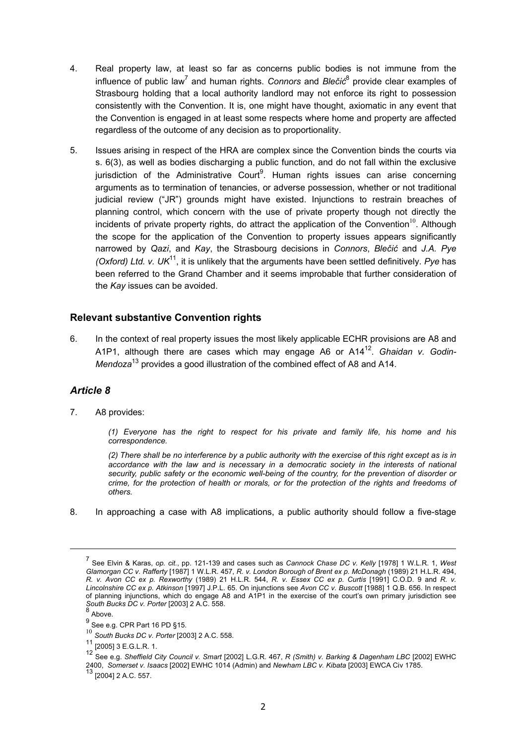- 4. Real property law, at least so far as concerns public bodies is not immune from the influence of public law<sup>7</sup> and human rights. *Connors* and *Blečić*<sup>8</sup> provide clear examples of Strasbourg holding that a local authority landlord may not enforce its right to possession consistently with the Convention. It is, one might have thought, axiomatic in any event that the Convention is engaged in at least some respects where home and property are affected regardless of the outcome of any decision as to proportionality.
- 5. Issues arising in respect of the HRA are complex since the Convention binds the courts via s. 6(3), as well as bodies discharging a public function, and do not fall within the exclusive jurisdiction of the Administrative Court<sup>9</sup>. Human rights issues can arise concerning arguments as to termination of tenancies, or adverse possession, whether or not traditional judicial review ("JR") grounds might have existed. Injunctions to restrain breaches of planning control, which concern with the use of private property though not directly the incidents of private property rights, do attract the application of the Convention $10$ . Although the scope for the application of the Convention to property issues appears significantly narrowed by *Qazi*, and *Kay*, the Strasbourg decisions in *Connors*, *Blečić* and *J.A. Pye (Oxford) Ltd. v. UK*11, it is unlikely that the arguments have been settled definitively. *Pye* has been referred to the Grand Chamber and it seems improbable that further consideration of the *Kay* issues can be avoided.

#### **Relevant substantive Convention rights**

6. In the context of real property issues the most likely applicable ECHR provisions are A8 and A1P1, although there are cases which may engage A6 or A1412. *Ghaidan v. Godin-Mendoza*<sup>13</sup> provides a good illustration of the combined effect of A8 and A14.

#### *Article 8*

7. A8 provides:

*(1) Everyone has the right to respect for his private and family life, his home and his correspondence.* 

*(2) There shall be no interference by a public authority with the exercise of this right except as is in accordance with the law and is necessary in a democratic society in the interests of national security, public safety or the economic well-being of the country, for the prevention of disorder or crime, for the protection of health or morals, or for the protection of the rights and freedoms of others.* 

8. In approaching a case with A8 implications, a public authority should follow a five-stage

<sup>7</sup> See Elvin & Karas, *op. cit.*, pp. 121-139 and cases such as *Cannock Chase DC v. Kelly* [1978] 1 W.L.R. 1, *West Glamorgan CC v. Rafferty* [1987] 1 W.L.R. 457, *R. v. London Borough of Brent ex p. McDonagh* (1989) 21 H.L.R. 494, *R. v. Avon CC ex p. Rexworthy* (1989) 21 H.L.R. 544, *R. v. Essex CC ex p. Curtis* [1991] C.O.D. 9 and *R. v. Lincolnshire CC ex p. Atkinson* [1997] J.P.L. 65. On injunctions see *Avon CC v. Buscott* [1988] 1 Q.B. 656. In respect of planning injunctions, which do engage A8 and A1P1 in the exercise of the court's own primary jurisdiction see *South Bucks DC v. Porter* [2003] 2 A.C. 558. 8

Above.

 $^9$  See e.g. CPR Part 16 PD §15.

<sup>10</sup> *South Bucks DC v. Porter* [2003] 2 A.C. 558.

<sup>11 [2005] 3</sup> E.G.L.R. 1.

<sup>12</sup> See e.g. *Sheffield City Council v. Smart* [2002] L.G.R. 467, *R (Smith) v. Barking & Dagenham LBC* [2002] EWHC 2400, *Somerset v. Isaacs* [2002] EWHC 1014 (Admin) and *Newham LBC v. Kibata* [2003] EWCA Civ 1785.

 $\frac{13}{13}$  [2004] 2 A.C. 557.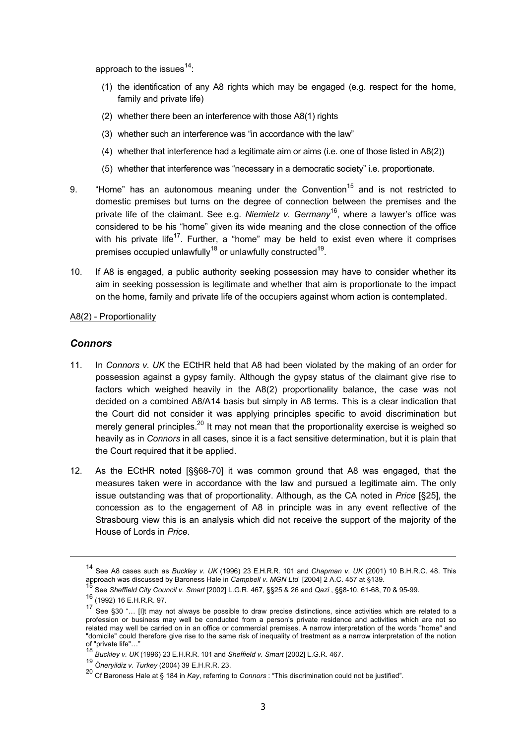approach to the issues  $14$ :

- (1) the identification of any A8 rights which may be engaged (e.g. respect for the home, family and private life)
- (2) whether there been an interference with those A8(1) rights
- (3) whether such an interference was "in accordance with the law"
- (4) whether that interference had a legitimate aim or aims (i.e. one of those listed in A8(2))
- (5) whether that interference was "necessary in a democratic society" i.e. proportionate.
- 9. "Home" has an autonomous meaning under the Convention<sup>15</sup> and is not restricted to domestic premises but turns on the degree of connection between the premises and the private life of the claimant. See e.g. *Niemietz v. Germany*16, where a lawyer's office was considered to be his "home" given its wide meaning and the close connection of the office with his private life<sup>17</sup>. Further, a "home" may be held to exist even where it comprises premises occupied unlawfully<sup>18</sup> or unlawfully constructed<sup>19</sup>.
- 10. If A8 is engaged, a public authority seeking possession may have to consider whether its aim in seeking possession is legitimate and whether that aim is proportionate to the impact on the home, family and private life of the occupiers against whom action is contemplated.

#### A8(2) - Proportionality

#### *Connors*

- 11. In *Connors v. UK* the ECtHR held that A8 had been violated by the making of an order for possession against a gypsy family. Although the gypsy status of the claimant give rise to factors which weighed heavily in the A8(2) proportionality balance, the case was not decided on a combined A8/A14 basis but simply in A8 terms. This is a clear indication that the Court did not consider it was applying principles specific to avoid discrimination but merely general principles.<sup>20</sup> It may not mean that the proportionality exercise is weighed so heavily as in *Connors* in all cases, since it is a fact sensitive determination, but it is plain that the Court required that it be applied.
- 12. As the ECtHR noted [§§68-70] it was common ground that A8 was engaged, that the measures taken were in accordance with the law and pursued a legitimate aim. The only issue outstanding was that of proportionality. Although, as the CA noted in *Price* [§25], the concession as to the engagement of A8 in principle was in any event reflective of the Strasbourg view this is an analysis which did not receive the support of the majority of the House of Lords in *Price*.

<sup>14</sup> See A8 cases such as *Buckley v. UK* (1996) 23 E.H.R.R. 101 and *Chapman v. UK* (2001) 10 B.H.R.C. 48. This approach was discussed by Baroness Hale in *Campbell v. MGN Ltd* [2004] 2 A.C. 457 at §139.<br><sup>15</sup> See *Sheffield City Council v. Smart* [2002] L.G.R. 467, §§25 & 26 and *Qazi* , §§8-10, 61-68, 70 & 95-99.

<sup>16 (1992) 16</sup> E.H.R.R. 97.

<sup>17</sup> See §30 "... [I]t may not always be possible to draw precise distinctions, since activities which are related to a profession or business may well be conducted from a person's private residence and activities which are not so related may well be carried on in an office or commercial premises. A narrow interpretation of the words "home" and "domicile" could therefore give rise to the same risk of inequality of treatment as a narrow interpretation of the notion of "private life"...

<sup>18</sup> *Buckley v. UK* (1996) 23 E.H.R.R. 101 and *Sheffield v. Smart* [2002] L.G.R. 467.

<sup>19</sup> *Öneryildiz v. Turkey* (2004) 39 E.H.R.R. 23.

<sup>20</sup> Cf Baroness Hale at § 184 in *Kay*, referring to *Connors* : "This discrimination could not be justified".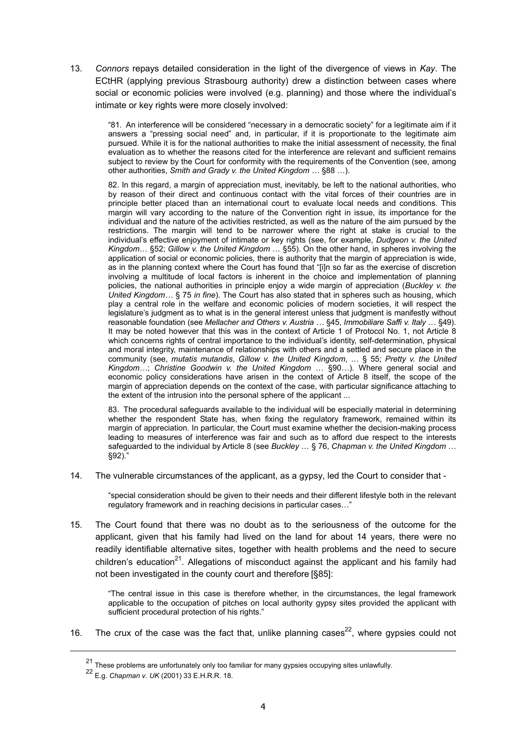13. *Connors* repays detailed consideration in the light of the divergence of views in *Kay*. The ECtHR (applying previous Strasbourg authority) drew a distinction between cases where social or economic policies were involved (e.g. planning) and those where the individual's intimate or key rights were more closely involved:

"81. An interference will be considered "necessary in a democratic society" for a legitimate aim if it answers a "pressing social need" and, in particular, if it is proportionate to the legitimate aim pursued. While it is for the national authorities to make the initial assessment of necessity, the final evaluation as to whether the reasons cited for the interference are relevant and sufficient remains subject to review by the Court for conformity with the requirements of the Convention (see, among other authorities, *Smith and Grady v. the United Kingdom …* §88 …).

82. In this regard, a margin of appreciation must, inevitably, be left to the national authorities, who by reason of their direct and continuous contact with the vital forces of their countries are in principle better placed than an international court to evaluate local needs and conditions. This margin will vary according to the nature of the Convention right in issue, its importance for the individual and the nature of the activities restricted, as well as the nature of the aim pursued by the restrictions. The margin will tend to be narrower where the right at stake is crucial to the individual's effective enjoyment of intimate or key rights (see, for example, *Dudgeon v. the United Kingdom*… §52; *Gillow v. the United Kingdom* … §55). On the other hand, in spheres involving the application of social or economic policies, there is authority that the margin of appreciation is wide, as in the planning context where the Court has found that "[i]n so far as the exercise of discretion involving a multitude of local factors is inherent in the choice and implementation of planning policies, the national authorities in principle enjoy a wide margin of appreciation (*Buckley v. the United Kingdom…* § 75 *in fine*). The Court has also stated that in spheres such as housing, which play a central role in the welfare and economic policies of modern societies, it will respect the legislature's judgment as to what is in the general interest unless that judgment is manifestly without reasonable foundation (see *Mellacher and Others v. Austria …* §45, *Immobiliare Saffi v. Italy* … §49). It may be noted however that this was in the context of Article 1 of Protocol No. 1, not Article 8 which concerns rights of central importance to the individual's identity, self-determination, physical and moral integrity, maintenance of relationships with others and a settled and secure place in the community (see, *mutatis mutandis*, *Gillow v. the United Kingdom*, … § 55; *Pretty v. the United Kingdom…*; *Christine Goodwin v. the United Kingdom* … §90…). Where general social and economic policy considerations have arisen in the context of Article 8 itself, the scope of the margin of appreciation depends on the context of the case, with particular significance attaching to the extent of the intrusion into the personal sphere of the applicant ...

83. The procedural safeguards available to the individual will be especially material in determining whether the respondent State has, when fixing the regulatory framework, remained within its margin of appreciation. In particular, the Court must examine whether the decision-making process leading to measures of interference was fair and such as to afford due respect to the interests safeguarded to the individual by Article 8 (see *Buckley* … § 76, *Chapman v. the United Kingdom* … §92)."

14. The vulnerable circumstances of the applicant, as a gypsy, led the Court to consider that -

"special consideration should be given to their needs and their different lifestyle both in the relevant regulatory framework and in reaching decisions in particular cases…"

15. The Court found that there was no doubt as to the seriousness of the outcome for the applicant, given that his family had lived on the land for about 14 years, there were no readily identifiable alternative sites, together with health problems and the need to secure children's education $21$ . Allegations of misconduct against the applicant and his family had not been investigated in the county court and therefore [§85]:

"The central issue in this case is therefore whether, in the circumstances, the legal framework applicable to the occupation of pitches on local authority gypsy sites provided the applicant with sufficient procedural protection of his rights."

16. The crux of the case was the fact that, unlike planning cases<sup>22</sup>, where gypsies could not

 $21$  These problems are unfortunately only too familiar for many gypsies occupying sites unlawfully.

<sup>22</sup> E.g. *Chapman v. UK* (2001) 33 E.H.R.R. 18.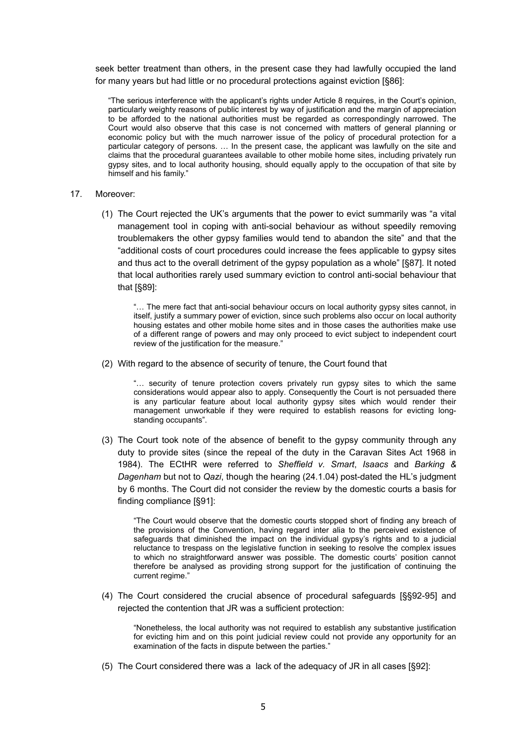seek better treatment than others, in the present case they had lawfully occupied the land for many years but had little or no procedural protections against eviction [§86]:

"The serious interference with the applicant's rights under Article 8 requires, in the Court's opinion, particularly weighty reasons of public interest by way of justification and the margin of appreciation to be afforded to the national authorities must be regarded as correspondingly narrowed. The Court would also observe that this case is not concerned with matters of general planning or economic policy but with the much narrower issue of the policy of procedural protection for a particular category of persons. … In the present case, the applicant was lawfully on the site and claims that the procedural guarantees available to other mobile home sites, including privately run gypsy sites, and to local authority housing, should equally apply to the occupation of that site by himself and his family."

#### 17. Moreover:

(1) The Court rejected the UK's arguments that the power to evict summarily was "a vital management tool in coping with anti-social behaviour as without speedily removing troublemakers the other gypsy families would tend to abandon the site" and that the "additional costs of court procedures could increase the fees applicable to gypsy sites and thus act to the overall detriment of the gypsy population as a whole" [§87]. It noted that local authorities rarely used summary eviction to control anti-social behaviour that that [§89]:

"… The mere fact that anti-social behaviour occurs on local authority gypsy sites cannot, in itself, justify a summary power of eviction, since such problems also occur on local authority housing estates and other mobile home sites and in those cases the authorities make use of a different range of powers and may only proceed to evict subject to independent court review of the justification for the measure."

(2) With regard to the absence of security of tenure, the Court found that

"… security of tenure protection covers privately run gypsy sites to which the same considerations would appear also to apply. Consequently the Court is not persuaded there is any particular feature about local authority gypsy sites which would render their management unworkable if they were required to establish reasons for evicting longstanding occupants".

(3) The Court took note of the absence of benefit to the gypsy community through any duty to provide sites (since the repeal of the duty in the Caravan Sites Act 1968 in 1984). The ECtHR were referred to *Sheffield v. Smart*, *Isaacs* and *Barking & Dagenham* but not to *Qazi*, though the hearing (24.1.04) post-dated the HL's judgment by 6 months. The Court did not consider the review by the domestic courts a basis for finding compliance [§91]:

"The Court would observe that the domestic courts stopped short of finding any breach of the provisions of the Convention, having regard inter alia to the perceived existence of safeguards that diminished the impact on the individual gypsy's rights and to a judicial reluctance to trespass on the legislative function in seeking to resolve the complex issues to which no straightforward answer was possible. The domestic courts' position cannot therefore be analysed as providing strong support for the justification of continuing the current regime."

(4) The Court considered the crucial absence of procedural safeguards [§§92-95] and rejected the contention that JR was a sufficient protection:

"Nonetheless, the local authority was not required to establish any substantive justification for evicting him and on this point judicial review could not provide any opportunity for an examination of the facts in dispute between the parties."

(5) The Court considered there was a lack of the adequacy of JR in all cases [§92]: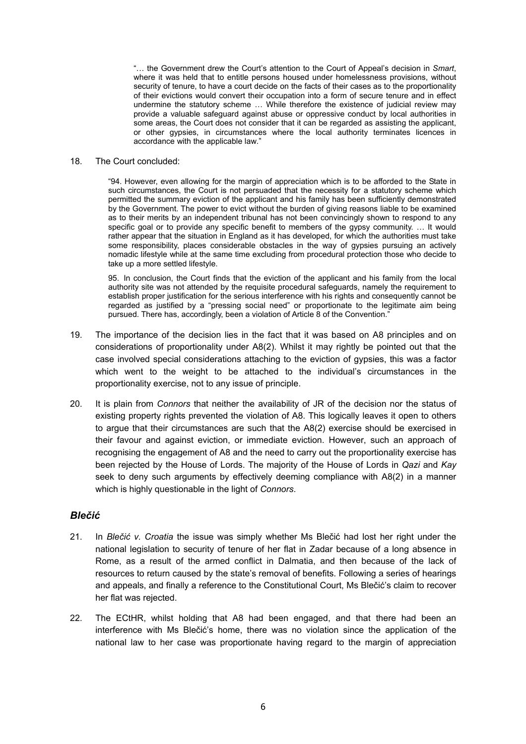"… the Government drew the Court's attention to the Court of Appeal's decision in *Smart*, where it was held that to entitle persons housed under homelessness provisions, without security of tenure, to have a court decide on the facts of their cases as to the proportionality of their evictions would convert their occupation into a form of secure tenure and in effect undermine the statutory scheme … While therefore the existence of judicial review may provide a valuable safeguard against abuse or oppressive conduct by local authorities in some areas, the Court does not consider that it can be regarded as assisting the applicant, or other gypsies, in circumstances where the local authority terminates licences in accordance with the applicable law."

#### 18. The Court concluded:

"94. However, even allowing for the margin of appreciation which is to be afforded to the State in such circumstances, the Court is not persuaded that the necessity for a statutory scheme which permitted the summary eviction of the applicant and his family has been sufficiently demonstrated by the Government. The power to evict without the burden of giving reasons liable to be examined as to their merits by an independent tribunal has not been convincingly shown to respond to any specific goal or to provide any specific benefit to members of the gypsy community. … It would rather appear that the situation in England as it has developed, for which the authorities must take some responsibility, places considerable obstacles in the way of gypsies pursuing an actively nomadic lifestyle while at the same time excluding from procedural protection those who decide to take up a more settled lifestyle.

95. In conclusion, the Court finds that the eviction of the applicant and his family from the local authority site was not attended by the requisite procedural safeguards, namely the requirement to establish proper justification for the serious interference with his rights and consequently cannot be regarded as justified by a "pressing social need" or proportionate to the legitimate aim being pursued. There has, accordingly, been a violation of Article 8 of the Convention."

- 19. The importance of the decision lies in the fact that it was based on A8 principles and on considerations of proportionality under A8(2). Whilst it may rightly be pointed out that the case involved special considerations attaching to the eviction of gypsies, this was a factor which went to the weight to be attached to the individual's circumstances in the proportionality exercise, not to any issue of principle.
- 20. It is plain from *Connors* that neither the availability of JR of the decision nor the status of existing property rights prevented the violation of A8. This logically leaves it open to others to argue that their circumstances are such that the A8(2) exercise should be exercised in their favour and against eviction, or immediate eviction. However, such an approach of recognising the engagement of A8 and the need to carry out the proportionality exercise has been rejected by the House of Lords. The majority of the House of Lords in *Qazi* and *Kay*  seek to deny such arguments by effectively deeming compliance with A8(2) in a manner which is highly questionable in the light of *Connors*.

#### *Blečić*

- 21. In *Blečić v. Croatia* the issue was simply whether Ms Blečić had lost her right under the national legislation to security of tenure of her flat in Zadar because of a long absence in Rome, as a result of the armed conflict in Dalmatia, and then because of the lack of resources to return caused by the state's removal of benefits. Following a series of hearings and appeals, and finally a reference to the Constitutional Court, Ms Blečić's claim to recover her flat was rejected.
- 22. The ECtHR, whilst holding that A8 had been engaged, and that there had been an interference with Ms Blečić's home, there was no violation since the application of the national law to her case was proportionate having regard to the margin of appreciation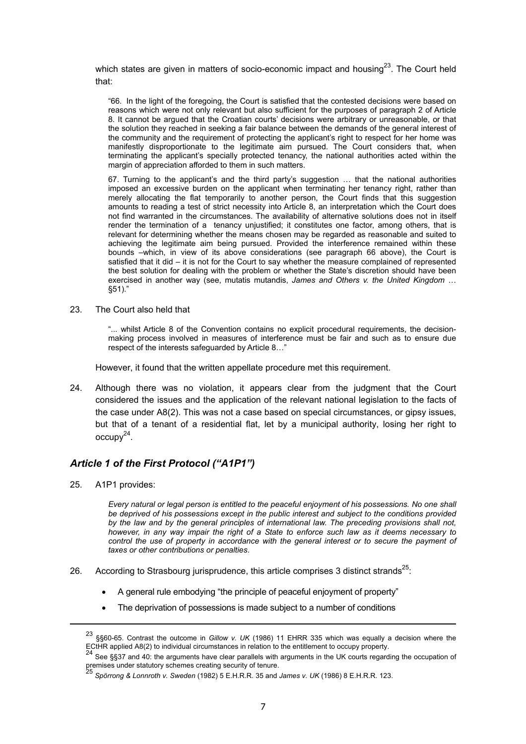which states are given in matters of socio-economic impact and housing<sup>23</sup>. The Court held that:

"66. In the light of the foregoing, the Court is satisfied that the contested decisions were based on reasons which were not only relevant but also sufficient for the purposes of paragraph 2 of Article 8. It cannot be argued that the Croatian courts' decisions were arbitrary or unreasonable, or that the solution they reached in seeking a fair balance between the demands of the general interest of the community and the requirement of protecting the applicant's right to respect for her home was manifestly disproportionate to the legitimate aim pursued. The Court considers that, when terminating the applicant's specially protected tenancy, the national authorities acted within the margin of appreciation afforded to them in such matters.

67. Turning to the applicant's and the third party's suggestion … that the national authorities imposed an excessive burden on the applicant when terminating her tenancy right, rather than merely allocating the flat temporarily to another person, the Court finds that this suggestion amounts to reading a test of strict necessity into Article 8, an interpretation which the Court does not find warranted in the circumstances. The availability of alternative solutions does not in itself render the termination of a tenancy unjustified; it constitutes one factor, among others, that is relevant for determining whether the means chosen may be regarded as reasonable and suited to achieving the legitimate aim being pursued. Provided the interference remained within these bounds –which, in view of its above considerations (see paragraph 66 above), the Court is satisfied that it did – it is not for the Court to say whether the measure complained of represented the best solution for dealing with the problem or whether the State's discretion should have been exercised in another way (see, mutatis mutandis, *James and Others v. the United Kingdom* … §51)."

23. The Court also held that

"... whilst Article 8 of the Convention contains no explicit procedural requirements, the decisionmaking process involved in measures of interference must be fair and such as to ensure due respect of the interests safeguarded by Article 8…"

However, it found that the written appellate procedure met this requirement.

24. Although there was no violation, it appears clear from the judgment that the Court considered the issues and the application of the relevant national legislation to the facts of the case under A8(2). This was not a case based on special circumstances, or gipsy issues, but that of a tenant of a residential flat, let by a municipal authority, losing her right to  $occunv<sup>24</sup>$ .

### *Article 1 of the First Protocol ("A1P1")*

25. A1P1 provides:

-

*Every natural or legal person is entitled to the peaceful enjoyment of his possessions. No one shall be deprived of his possessions except in the public interest and subject to the conditions provided*  by the law and by the general principles of international law. The preceding provisions shall not, *however, in any way impair the right of a State to enforce such law as it deems necessary to*  control the use of property in accordance with the general interest or to secure the payment of *taxes or other contributions or penalties*.

- 26. According to Strasbourg jurisprudence, this article comprises 3 distinct strands<sup>25</sup>:
	- A general rule embodying "the principle of peaceful enjoyment of property"
	- The deprivation of possessions is made subject to a number of conditions

<sup>23 §§60-65.</sup> Contrast the outcome in *Gillow v. UK* (1986) 11 EHRR 335 which was equally a decision where the

<sup>&</sup>lt;sup>24</sup> See §§37 and 40: the arguments have clear parallels with arguments in the UK courts regarding the occupation of premises under statutory schemes creating security of tenure.<br><sup>25</sup> -

Spörrong & Lonnroth v. Sweden (1982) 5 E.H.R.R. 35 and *James v. UK* (1986) 8 E.H.R.R. 123.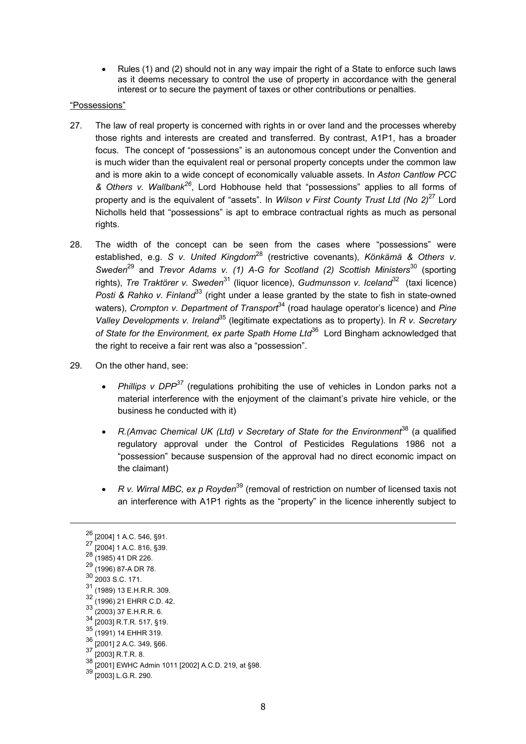• Rules (1) and (2) should not in any way impair the right of a State to enforce such laws as it deems necessary to control the use of property in accordance with the general interest or to secure the payment of taxes or other contributions or penalties.

#### "Possessions"

- 27. The law of real property is concerned with rights in or over land and the processes whereby those rights and interests are created and transferred. By contrast, A1P1, has a broader focus. The concept of "possessions" is an autonomous concept under the Convention and is much wider than the equivalent real or personal property concepts under the common law and is more akin to a wide concept of economically valuable assets. In *Aston Cantlow PCC & Others v. Wallbank26*, Lord Hobhouse held that "possessions" applies to all forms of property and is the equivalent of "assets". In *Wilson v First County Trust Ltd (No 2)*27 Lord Nicholls held that "possessions" is apt to embrace contractual rights as much as personal rights.
- 28. The width of the concept can be seen from the cases where "possessions" were established, e.g. *S v. United Kingdom*28 (restrictive covenants), *Könkämä & Others v.*  Sweden<sup>29</sup> and *Trevor Adams v. (1) A-G for Scotland (2) Scottish Ministers*<sup>30</sup> (sporting rights), *Tre Traktörer v. Sweden*<sup>31</sup> (liquor licence), *Gudmunsson v. Iceland*<sup>32</sup> (taxi licence) *Posti & Rahko v. Finland*<sup>33</sup> (right under a lease granted by the state to fish in state-owned waters), *Crompton v. Department of Transport*<sup>34</sup> (road haulage operator's licence) and *Pine Valley Developments v. Ireland*<sup>35</sup> (legitimate expectations as to property). In *R v. Secretary*  of State for the Environment, ex parte Spath Home Ltd<sup>36</sup> Lord Bingham acknowledged that the right to receive a fair rent was also a "possession".
- 29. On the other hand, see:
	- *Phillips v DPP37* (regulations prohibiting the use of vehicles in London parks not a material interference with the enjoyment of the claimant's private hire vehicle, or the business he conducted with it)
	- *R.(Amvac Chemical UK (Ltd) v Secretary of State for the Environment*38 (a qualified regulatory approval under the Control of Pesticides Regulations 1986 not a "possession" because suspension of the approval had no direct economic impact on the claimant)
	- *R v. Wirral MBC, ex p Royden*39 (removal of restriction on number of licensed taxis not an interference with A1P1 rights as the "property" in the licence inherently subject to

<sup>26 [2004] 1</sup> A.C. 546, §91.

<sup>&</sup>lt;sup>27</sup> [2004] 1 A.C. 816, §39.

<sup>&</sup>lt;sup>28</sup> (1985) 41 DR 226.

<sup>&</sup>lt;sup>29</sup> (1996) 87-A DR 78.

 $30\,$  2003 S.C. 171.

<sup>31 (1989) 13</sup> E.H.R.R. 309.

<sup>32 (1996) 21</sup> EHRR C.D. 42.

 $33$  (2003) 37 E.H.R.R. 6.

<sup>34 [2003]</sup> R.T.R. 517, §19.

<sup>35 (1991) 14</sup> EHHR 319.

 $\frac{36}{2001}$  2 A.C. 349, §66.

 $\frac{37}{38}$  [2003] R.T.R. 8.

<sup>[2001]</sup> EWHC Admin 1011 [2002] A.C.D. 219, at §98.

 $39$   $[2003]$  L.G.R. 290.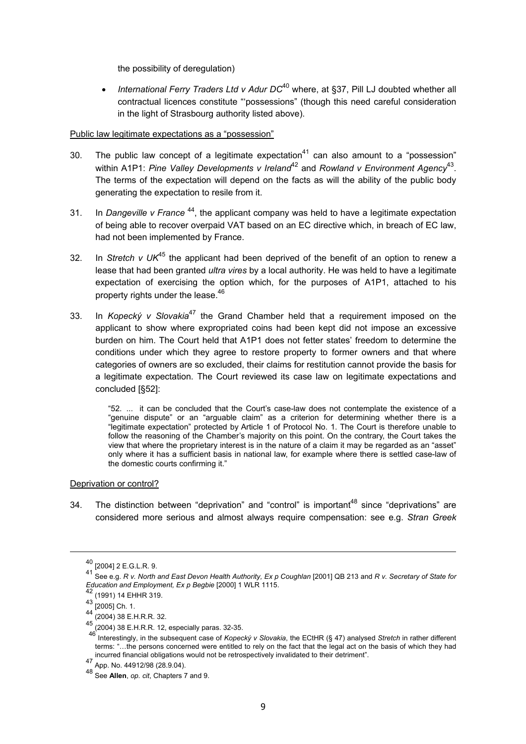the possibility of deregulation)

• *International Ferry Traders Ltd v Adur DC<sup>40</sup> where, at §37, Pill LJ doubted whether all* contractual licences constitute "'possessions" (though this need careful consideration in the light of Strasbourg authority listed above).

#### Public law legitimate expectations as a "possession"

- 30. The public law concept of a legitimate expectation<sup>41</sup> can also amount to a "possession" within A1P1: *Pine Valley Developments v Ireland*<sup>42</sup> and *Rowland v Environment Agency*<sup>43</sup>. The terms of the expectation will depend on the facts as will the ability of the public body generating the expectation to resile from it.
- 31. In *Dangeville v France* 44, the applicant company was held to have a legitimate expectation of being able to recover overpaid VAT based on an EC directive which, in breach of EC law, had not been implemented by France.
- 32. In *Stretch v UK*45 the applicant had been deprived of the benefit of an option to renew a lease that had been granted *ultra vires* by a local authority. He was held to have a legitimate expectation of exercising the option which, for the purposes of A1P1, attached to his property rights under the lease.<sup>46</sup>
- 33. In *Kopecký v Slovakia*47 the Grand Chamber held that a requirement imposed on the applicant to show where expropriated coins had been kept did not impose an excessive burden on him. The Court held that A1P1 does not fetter states' freedom to determine the conditions under which they agree to restore property to former owners and that where categories of owners are so excluded, their claims for restitution cannot provide the basis for a legitimate expectation. The Court reviewed its case law on legitimate expectations and concluded [§52]:

"52. ... it can be concluded that the Court's case-law does not contemplate the existence of a "genuine dispute" or an "arguable claim" as a criterion for determining whether there is a "legitimate expectation" protected by Article 1 of Protocol No. 1. The Court is therefore unable to follow the reasoning of the Chamber's majority on this point. On the contrary, the Court takes the view that where the proprietary interest is in the nature of a claim it may be regarded as an "asset" only where it has a sufficient basis in national law, for example where there is settled case-law of the domestic courts confirming it."

#### Deprivation or control?

34. The distinction between "deprivation" and "control" is important<sup>48</sup> since "deprivations" are considered more serious and almost always require compensation: see e.g. *Stran Greek* 

<sup>40 [2004] 2</sup> E.G.L.R. 9.

<sup>41</sup> See e.g. *R v. North and East Devon Health Authority, Ex p Coughlan* [2001] QB 213 and *R v. Secretary of State for Education and Employment, Ex p Begbie* [2000] 1 WLR 1115.

<sup>42 (1991) 14</sup> EHHR 319.

 $43^{1100}$ ;<br>[2005] Ch. 1.

 $^{44}$  (2004) 38 E.H.R.R. 32.

<sup>45 (2004) 38</sup> E.H.R.R. 12, especially paras. 32-35.

<sup>46</sup> Interestingly, in the subsequent case of *Kopecký v Slovakia*, the ECtHR (§ 47) analysed *Stretch* in rather different terms: "…the persons concerned were entitled to rely on the fact that the legal act on the basis of which they had incurred financial obligations would not be retrospectively invalidated to their detriment".<br><sup>47</sup> App. No. 44912/98 (28.9.04).

<sup>48</sup> See **Allen**, *op. cit*, Chapters 7 and 9.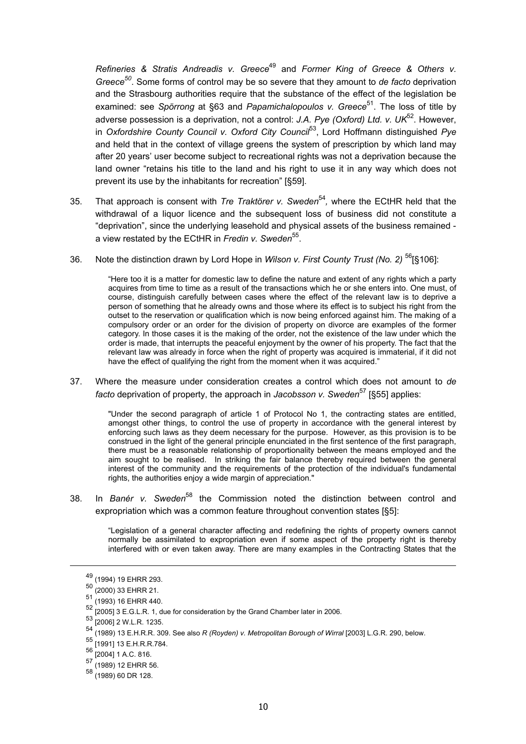*Refineries & Stratis Andreadis v. Greece*49 and *Former King of Greece & Others v. Greece50*. Some forms of control may be so severe that they amount to *de facto* deprivation and the Strasbourg authorities require that the substance of the effect of the legislation be examined: see *Spörrong* at §63 and *Papamichalopoulos v. Greece*<sup>51</sup>. The loss of title by adverse possession is a deprivation, not a control: *J.A. Pye (Oxford) Ltd. v. UK*52. However, in *Oxfordshire County Council v. Oxford City Counci<sup>53</sup>*, Lord Hoffmann distinguished Pye and held that in the context of village greens the system of prescription by which land may after 20 years' user become subject to recreational rights was not a deprivation because the land owner "retains his title to the land and his right to use it in any way which does not prevent its use by the inhabitants for recreation" [§59].

- 35. That approach is consent with *Tre Traktörer v. Sweden*54*,* where the ECtHR held that the withdrawal of a liquor licence and the subsequent loss of business did not constitute a "deprivation", since the underlying leasehold and physical assets of the business remained a view restated by the ECtHR in *Fredin v. Sweden*55.
- 36. Note the distinction drawn by Lord Hope in *Wilson v. First County Trust (No. 2)* 56[§106]:

"Here too it is a matter for domestic law to define the nature and extent of any rights which a party acquires from time to time as a result of the transactions which he or she enters into. One must, of course, distinguish carefully between cases where the effect of the relevant law is to deprive a person of something that he already owns and those where its effect is to subject his right from the outset to the reservation or qualification which is now being enforced against him. The making of a compulsory order or an order for the division of property on divorce are examples of the former category. In those cases it is the making of the order, not the existence of the law under which the order is made, that interrupts the peaceful enjoyment by the owner of his property. The fact that the relevant law was already in force when the right of property was acquired is immaterial, if it did not have the effect of qualifying the right from the moment when it was acquired."

37. Where the measure under consideration creates a control which does not amount to *de facto* deprivation of property, the approach in *Jacobsson v. Sweden*<sup>57</sup> [§55] applies:

"Under the second paragraph of article 1 of Protocol No 1, the contracting states are entitled, amongst other things, to control the use of property in accordance with the general interest by enforcing such laws as they deem necessary for the purpose. However, as this provision is to be construed in the light of the general principle enunciated in the first sentence of the first paragraph, there must be a reasonable relationship of proportionality between the means employed and the aim sought to be realised. In striking the fair balance thereby required between the general interest of the community and the requirements of the protection of the individual's fundamental rights, the authorities enjoy a wide margin of appreciation."

38. In *Banér v. Sweden*58 the Commission noted the distinction between control and expropriation which was a common feature throughout convention states [§5]:

"Legislation of a general character affecting and redefining the rights of property owners cannot normally be assimilated to expropriation even if some aspect of the property right is thereby interfered with or even taken away. There are many examples in the Contracting States that the

<sup>&</sup>lt;sup>49</sup> (1994) 19 EHRR 293.

 $^{50}$  (2000) 33 EHRR 21.

 $^{51}$  (1993) 16 EHRR 440.

 $52$  [2005] 3 E.G.L.R. 1, due for consideration by the Grand Chamber later in 2006.

<sup>53 [2006] 2</sup> W.L.R. 1235.

<sup>54 (1989) 13</sup> E.H.R.R. 309. See also *R (Royden) v. Metropolitan Borough of Wirral* [2003] L.G.R. 290, below.

 $^{55}$  [1991] 13 E.H.R.R.784.

 $\frac{56}{57}$  [2004] 1 A.C. 816.

 $^{57}$  (1989) 12 EHRR 56.

<sup>&</sup>lt;sup>58</sup> (1989) 60 DR 128.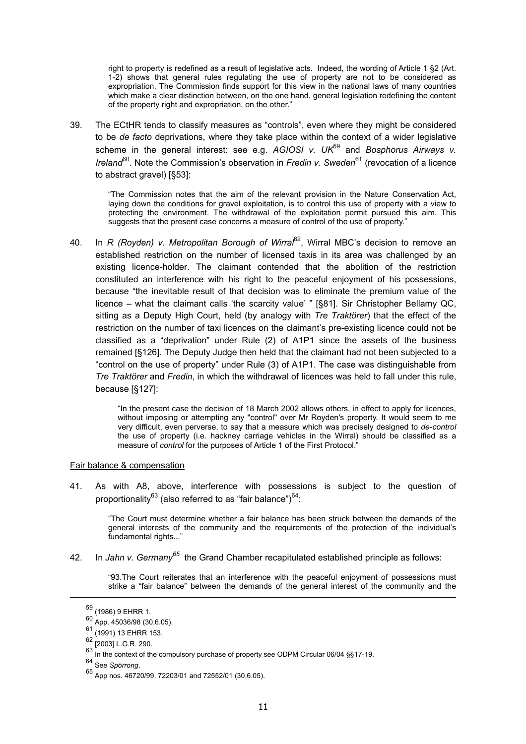right to property is redefined as a result of legislative acts. Indeed, the wording of Article 1 §2 (Art. 1-2) shows that general rules regulating the use of property are not to be considered as expropriation. The Commission finds support for this view in the national laws of many countries which make a clear distinction between, on the one hand, general legislation redefining the content of the property right and expropriation, on the other."

39. The ECtHR tends to classify measures as "controls", even where they might be considered to be *de facto* deprivations, where they take place within the context of a wider legislative scheme in the general interest: see e.g. *AGIOSI v. UK*<sup>59</sup> and *Bosphorus Airways v. Ireland*<sup>60</sup>. Note the Commission's observation in *Fredin v. Sweden*<sup>61</sup> (revocation of a licence to abstract gravel) [§53]:

"The Commission notes that the aim of the relevant provision in the Nature Conservation Act, laying down the conditions for gravel exploitation, is to control this use of property with a view to protecting the environment. The withdrawal of the exploitation permit pursued this aim. This suggests that the present case concerns a measure of control of the use of property."

40. In *R (Royden) v. Metropolitan Borough of Wirral*<sup>62</sup>, Wirral MBC's decision to remove an established restriction on the number of licensed taxis in its area was challenged by an existing licence-holder. The claimant contended that the abolition of the restriction constituted an interference with his right to the peaceful enjoyment of his possessions, because "the inevitable result of that decision was to eliminate the premium value of the licence – what the claimant calls 'the scarcity value' " [§81]. Sir Christopher Bellamy QC, sitting as a Deputy High Court, held (by analogy with *Tre Traktörer*) that the effect of the restriction on the number of taxi licences on the claimant's pre-existing licence could not be classified as a "deprivation" under Rule (2) of A1P1 since the assets of the business remained [§126]. The Deputy Judge then held that the claimant had not been subjected to a "control on the use of property" under Rule (3) of A1P1. The case was distinguishable from *Tre Traktörer* and *Fredin*, in which the withdrawal of licences was held to fall under this rule, because [§127]:

> "In the present case the decision of 18 March 2002 allows others, in effect to apply for licences, without imposing or attempting any "control" over Mr Royden's property. It would seem to me very difficult, even perverse, to say that a measure which was precisely designed to *de-control* the use of property (i.e. hackney carriage vehicles in the Wirral) should be classified as a measure of *control* for the purposes of Article 1 of the First Protocol."

#### Fair balance & compensation

41. As with A8, above, interference with possessions is subject to the question of proportionality<sup>63</sup> (also referred to as "fair balance")<sup>64</sup>:

"The Court must determine whether a fair balance has been struck between the demands of the general interests of the community and the requirements of the protection of the individual's fundamental rights..."

42. In *Jahn v. Germany65* the Grand Chamber recapitulated established principle as follows:

"93.The Court reiterates that an interference with the peaceful enjoyment of possessions must strike a "fair balance" between the demands of the general interest of the community and the

 $59$  (1986) 9 EHRR 1.

<sup>60</sup> App. 45036/98 (30.6.05).

<sup>61 (1991) 13</sup> EHRR 153.

 $62$   $(2003)$  L.G.R. 290.

<sup>63</sup> In the context of the compulsory purchase of property see ODPM Circular 06/04 §§17-19.<br>
<sup>64</sup> See Spörrong.

<sup>64</sup> See *Spörrong*. 65 App nos. 46720/99, 72203/01 and 72552/01 (30.6.05).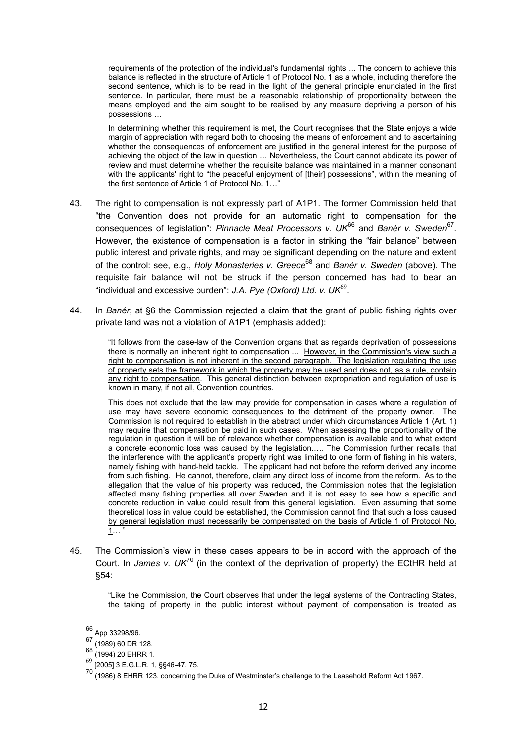requirements of the protection of the individual's fundamental rights ... The concern to achieve this balance is reflected in the structure of Article 1 of Protocol No. 1 as a whole, including therefore the second sentence, which is to be read in the light of the general principle enunciated in the first sentence. In particular, there must be a reasonable relationship of proportionality between the means employed and the aim sought to be realised by any measure depriving a person of his possessions …

In determining whether this requirement is met, the Court recognises that the State enjoys a wide margin of appreciation with regard both to choosing the means of enforcement and to ascertaining whether the consequences of enforcement are justified in the general interest for the purpose of achieving the object of the law in question … Nevertheless, the Court cannot abdicate its power of review and must determine whether the requisite balance was maintained in a manner consonant with the applicants' right to "the peaceful enjoyment of [their] possessions", within the meaning of the first sentence of Article 1 of Protocol No. 1…"

- 43. The right to compensation is not expressly part of A1P1. The former Commission held that "the Convention does not provide for an automatic right to compensation for the consequences of legislation": *Pinnacle Meat Processors v. UK*<sup>66</sup> and *Banér v. Sweden*67. However, the existence of compensation is a factor in striking the "fair balance" between public interest and private rights, and may be significant depending on the nature and extent of the control: see, e.g., *Holy Monasteries v. Greece*<sup>68</sup> and *Banér v. Sweden* (above). The requisite fair balance will not be struck if the person concerned has had to bear an "individual and excessive burden": *J.A. Pye (Oxford) Ltd. v. UK*69.
- 44. In *Banér*, at §6 the Commission rejected a claim that the grant of public fishing rights over private land was not a violation of A1P1 (emphasis added):

"It follows from the case-law of the Convention organs that as regards deprivation of possessions there is normally an inherent right to compensation ... However, in the Commission's view such a right to compensation is not inherent in the second paragraph. The legislation regulating the use of property sets the framework in which the property may be used and does not, as a rule, contain any right to compensation. This general distinction between expropriation and regulation of use is known in many, if not all, Convention countries.

This does not exclude that the law may provide for compensation in cases where a regulation of use may have severe economic consequences to the detriment of the property owner. The Commission is not required to establish in the abstract under which circumstances Article 1 (Art. 1) may require that compensation be paid in such cases. When assessing the proportionality of the regulation in question it will be of relevance whether compensation is available and to what extent a concrete economic loss was caused by the legislation.…. The Commission further recalls that the interference with the applicant's property right was limited to one form of fishing in his waters, namely fishing with hand-held tackle. The applicant had not before the reform derived any income from such fishing. He cannot, therefore, claim any direct loss of income from the reform. As to the allegation that the value of his property was reduced, the Commission notes that the legislation affected many fishing properties all over Sweden and it is not easy to see how a specific and concrete reduction in value could result from this general legislation. Even assuming that some theoretical loss in value could be established, the Commission cannot find that such a loss caused by general legislation must necessarily be compensated on the basis of Article 1 of Protocol No.  $1...$ 

45. The Commission's view in these cases appears to be in accord with the approach of the Court. In *James v. UK*70 (in the context of the deprivation of property) the ECtHR held at §54:

"Like the Commission, the Court observes that under the legal systems of the Contracting States, the taking of property in the public interest without payment of compensation is treated as

<sup>66</sup> App 33298/96.

 $67^{14}$  (1989) 60 DR 128.

 $^{68}$  (1994) 20 EHRR 1.<br> $^{69}$  record 3 E.G. L.B. 4.

<sup>[2005] 3</sup> E.G.L.R. 1, §§46-47, 75.

<sup>70 (1986) 8</sup> EHRR 123, concerning the Duke of Westminster's challenge to the Leasehold Reform Act 1967.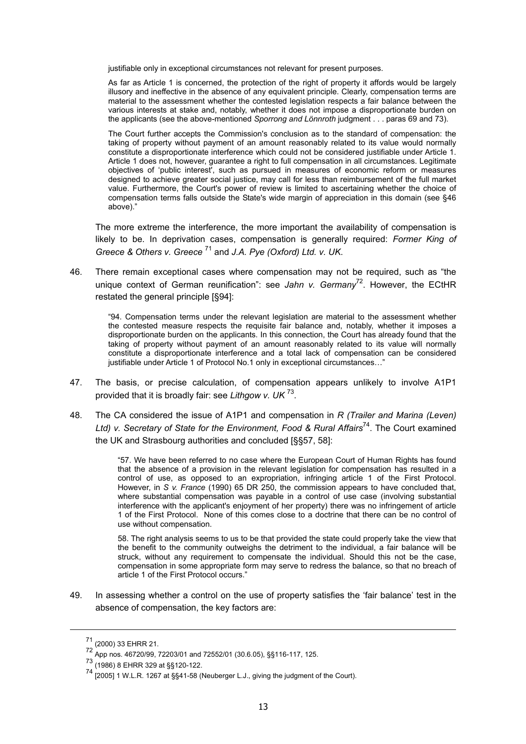justifiable only in exceptional circumstances not relevant for present purposes.

As far as Article 1 is concerned, the protection of the right of property it affords would be largely illusory and ineffective in the absence of any equivalent principle. Clearly, compensation terms are material to the assessment whether the contested legislation respects a fair balance between the various interests at stake and, notably, whether it does not impose a disproportionate burden on the applicants (see the above-mentioned *Sporrong and Lönnroth* judgment . . . paras 69 and 73).

The Court further accepts the Commission's conclusion as to the standard of compensation: the taking of property without payment of an amount reasonably related to its value would normally constitute a disproportionate interference which could not be considered justifiable under Article 1. Article 1 does not, however, guarantee a right to full compensation in all circumstances. Legitimate objectives of 'public interest', such as pursued in measures of economic reform or measures designed to achieve greater social justice, may call for less than reimbursement of the full market value. Furthermore, the Court's power of review is limited to ascertaining whether the choice of compensation terms falls outside the State's wide margin of appreciation in this domain (see §46 above)."

The more extreme the interference, the more important the availability of compensation is likely to be. In deprivation cases, compensation is generally required: *Former King of Greece & Others v. Greece* 71 and *J.A. Pye (Oxford) Ltd. v. UK*.

46. There remain exceptional cases where compensation may not be required, such as "the unique context of German reunification": see *Jahn v. Germany*72. However, the ECtHR restated the general principle [§94]:

"94. Compensation terms under the relevant legislation are material to the assessment whether the contested measure respects the requisite fair balance and, notably, whether it imposes a disproportionate burden on the applicants. In this connection, the Court has already found that the taking of property without payment of an amount reasonably related to its value will normally constitute a disproportionate interference and a total lack of compensation can be considered justifiable under Article 1 of Protocol No.1 only in exceptional circumstances..."

- 47. The basis, or precise calculation, of compensation appears unlikely to involve A1P1 provided that it is broadly fair: see *Lithgow v. UK* 73.
- 48. The CA considered the issue of A1P1 and compensation in *R (Trailer and Marina (Leven)*  Ltd) v. Secretary of State for the Environment, Food & Rural Affairs<sup>74</sup>. The Court examined the UK and Strasbourg authorities and concluded [§§57, 58]:

"57. We have been referred to no case where the European Court of Human Rights has found that the absence of a provision in the relevant legislation for compensation has resulted in a control of use, as opposed to an expropriation, infringing article 1 of the First Protocol. However, in *S v. France* (1990) 65 DR 250, the commission appears to have concluded that, where substantial compensation was payable in a control of use case (involving substantial interference with the applicant's enjoyment of her property) there was no infringement of article 1 of the First Protocol. None of this comes close to a doctrine that there can be no control of use without compensation.

58. The right analysis seems to us to be that provided the state could properly take the view that the benefit to the community outweighs the detriment to the individual, a fair balance will be struck, without any requirement to compensate the individual. Should this not be the case, compensation in some appropriate form may serve to redress the balance, so that no breach of article 1 of the First Protocol occurs."

49. In assessing whether a control on the use of property satisfies the 'fair balance' test in the absence of compensation, the key factors are:

<sup>71 (2000) 33</sup> EHRR 21.

<sup>72</sup> App nos. 46720/99, 72203/01 and 72552/01 (30.6.05), §§116-117, 125.

<sup>73 (1986) 8</sup> EHRR 329 at §§120-122.

<sup>74 [2005] 1</sup> W.L.R. 1267 at §§41-58 (Neuberger L.J., giving the judgment of the Court).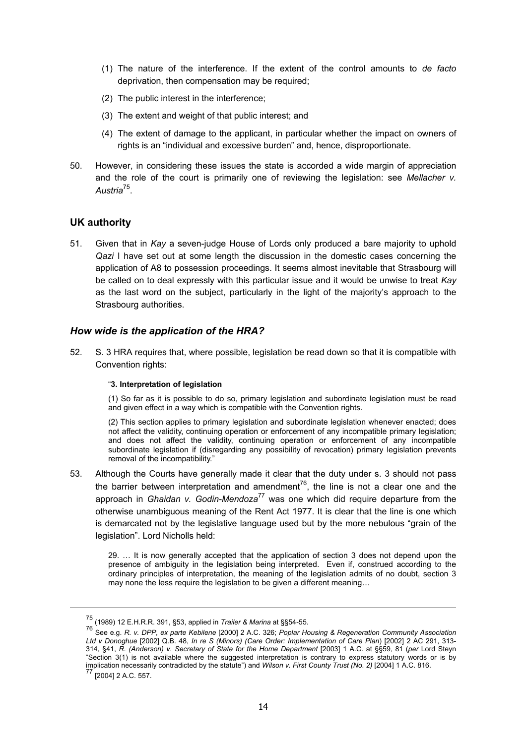- (1) The nature of the interference. If the extent of the control amounts to *de facto* deprivation, then compensation may be required;
- (2) The public interest in the interference;
- (3) The extent and weight of that public interest; and
- (4) The extent of damage to the applicant, in particular whether the impact on owners of rights is an "individual and excessive burden" and, hence, disproportionate.
- 50. However, in considering these issues the state is accorded a wide margin of appreciation and the role of the court is primarily one of reviewing the legislation: see *Mellacher v. Austria*75.

#### **UK authority**

51. Given that in *Kay* a seven-judge House of Lords only produced a bare majority to uphold *Qazi* I have set out at some length the discussion in the domestic cases concerning the application of A8 to possession proceedings. It seems almost inevitable that Strasbourg will be called on to deal expressly with this particular issue and it would be unwise to treat *Kay*  as the last word on the subject, particularly in the light of the majority's approach to the Strasbourg authorities.

#### *How wide is the application of the HRA?*

52. S. 3 HRA requires that, where possible, legislation be read down so that it is compatible with Convention rights:

#### "**3. Interpretation of legislation**

(1) So far as it is possible to do so, primary legislation and subordinate legislation must be read and given effect in a way which is compatible with the Convention rights.

(2) This section applies to primary legislation and subordinate legislation whenever enacted; does not affect the validity, continuing operation or enforcement of any incompatible primary legislation; and does not affect the validity, continuing operation or enforcement of any incompatible subordinate legislation if (disregarding any possibility of revocation) primary legislation prevents removal of the incompatibility."

53. Although the Courts have generally made it clear that the duty under s. 3 should not pass the barrier between interpretation and amendment<sup>76</sup>, the line is not a clear one and the approach in *Ghaidan v. Godin-Mendoza<sup>77</sup>* was one which did require departure from the otherwise unambiguous meaning of the Rent Act 1977. It is clear that the line is one which is demarcated not by the legislative language used but by the more nebulous "grain of the legislation". Lord Nicholls held:

29. … It is now generally accepted that the application of section 3 does not depend upon the presence of ambiguity in the legislation being interpreted. Even if, construed according to the ordinary principles of interpretation, the meaning of the legislation admits of no doubt, section 3 may none the less require the legislation to be given a different meaning…

<sup>75 (1989) 12</sup> E.H.R.R. 391, §53, applied in *Trailer & Marina* at §§54-55.

<sup>76</sup> See e.g. *R. v. DPP, ex parte Kebilene* [2000] 2 A.C. 326; *Poplar Housing & Regeneration Community Association Ltd v Donoghue* [2002] Q.B. 48, *In re S (Minors) (Care Order: Implementation of Care Plan*) [2002] 2 AC 291, 313- 314, §41, *R. (Anderson) v. Secretary of State for the Home Department* [2003] 1 A.C. at §§59, 81 (*per* Lord Steyn "Section 3(1) is not available where the suggested interpretation is contrary to express statutory words or is by implication necessarily contradicted by the statute") and *Wilson v. First County Trust (No. 2)* [2004] 1 A.C. 816.

<sup>[2004] 2</sup> A.C. 557.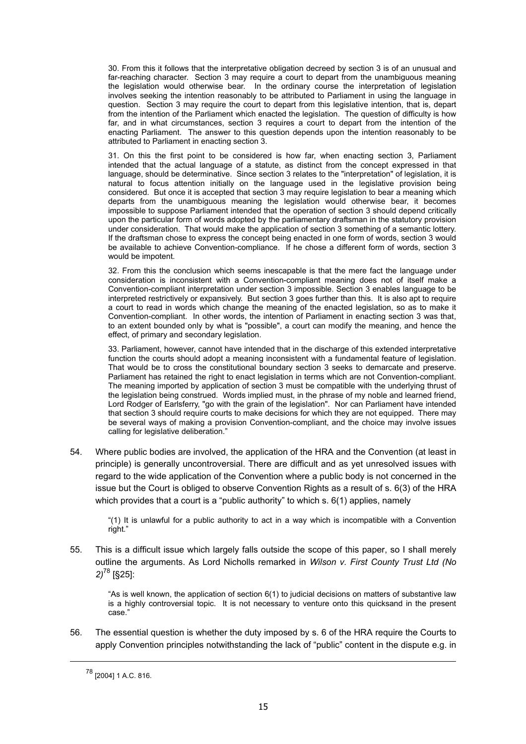30. From this it follows that the interpretative obligation decreed by section 3 is of an unusual and far-reaching character. Section 3 may require a court to depart from the unambiguous meaning the legislation would otherwise bear. In the ordinary course the interpretation of legislation involves seeking the intention reasonably to be attributed to Parliament in using the language in question. Section 3 may require the court to depart from this legislative intention, that is, depart from the intention of the Parliament which enacted the legislation. The question of difficulty is how far, and in what circumstances, section 3 requires a court to depart from the intention of the enacting Parliament. The answer to this question depends upon the intention reasonably to be attributed to Parliament in enacting section 3.

31. On this the first point to be considered is how far, when enacting section 3, Parliament intended that the actual language of a statute, as distinct from the concept expressed in that language, should be determinative. Since section 3 relates to the "interpretation" of legislation, it is natural to focus attention initially on the language used in the legislative provision being considered. But once it is accepted that section 3 may require legislation to bear a meaning which departs from the unambiguous meaning the legislation would otherwise bear, it becomes impossible to suppose Parliament intended that the operation of section 3 should depend critically upon the particular form of words adopted by the parliamentary draftsman in the statutory provision under consideration. That would make the application of section 3 something of a semantic lottery. If the draftsman chose to express the concept being enacted in one form of words, section 3 would be available to achieve Convention-compliance. If he chose a different form of words, section 3 would be impotent.

32. From this the conclusion which seems inescapable is that the mere fact the language under consideration is inconsistent with a Convention-compliant meaning does not of itself make a Convention-compliant interpretation under section 3 impossible. Section 3 enables language to be interpreted restrictively or expansively. But section 3 goes further than this. It is also apt to require a court to read in words which change the meaning of the enacted legislation, so as to make it Convention-compliant. In other words, the intention of Parliament in enacting section 3 was that, to an extent bounded only by what is "possible", a court can modify the meaning, and hence the effect, of primary and secondary legislation.

33. Parliament, however, cannot have intended that in the discharge of this extended interpretative function the courts should adopt a meaning inconsistent with a fundamental feature of legislation. That would be to cross the constitutional boundary section 3 seeks to demarcate and preserve. Parliament has retained the right to enact legislation in terms which are not Convention-compliant. The meaning imported by application of section 3 must be compatible with the underlying thrust of the legislation being construed. Words implied must, in the phrase of my noble and learned friend, Lord Rodger of Earlsferry, "go with the grain of the legislation". Nor can Parliament have intended that section 3 should require courts to make decisions for which they are not equipped. There may be several ways of making a provision Convention-compliant, and the choice may involve issues calling for legislative deliberation."

54. Where public bodies are involved, the application of the HRA and the Convention (at least in principle) is generally uncontroversial. There are difficult and as yet unresolved issues with regard to the wide application of the Convention where a public body is not concerned in the issue but the Court is obliged to observe Convention Rights as a result of s. 6(3) of the HRA which provides that a court is a "public authority" to which s,  $6(1)$  applies, namely

"(1) It is unlawful for a public authority to act in a way which is incompatible with a Convention right."

55. This is a difficult issue which largely falls outside the scope of this paper, so I shall merely outline the arguments. As Lord Nicholls remarked in *Wilson v. First County Trust Ltd (No 2)*<sup>78</sup> [§25]:

"As is well known, the application of section 6(1) to judicial decisions on matters of substantive law is a highly controversial topic. It is not necessary to venture onto this quicksand in the present case."

56. The essential question is whether the duty imposed by s. 6 of the HRA require the Courts to apply Convention principles notwithstanding the lack of "public" content in the dispute e.g. in

<sup>78 [2004] 1</sup> A.C. 816.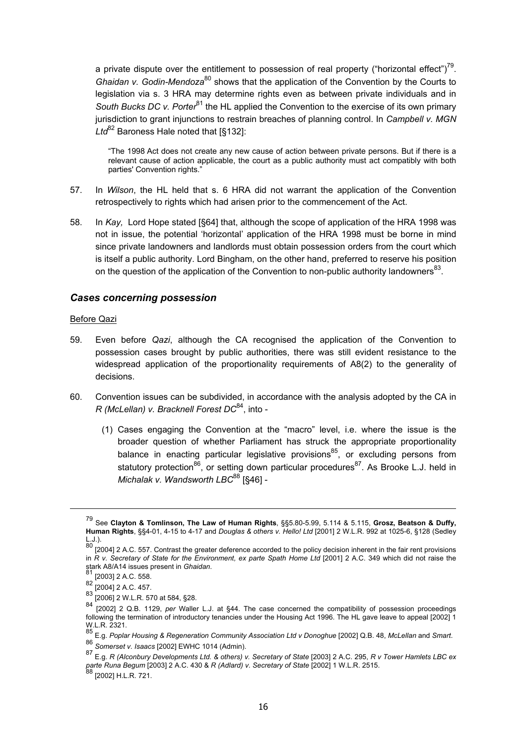a private dispute over the entitlement to possession of real property ("horizontal effect")<sup>79</sup>. *Ghaidan v. Godin-Mendoza*<sup>80</sup> shows that the application of the Convention by the Courts to legislation via s. 3 HRA may determine rights even as between private individuals and in *South Bucks DC v. Porter*<sup>81</sup> the HL applied the Convention to the exercise of its own primary jurisdiction to grant injunctions to restrain breaches of planning control. In *Campbell v. MGN Ltd*82 Baroness Hale noted that [§132]:

"The 1998 Act does not create any new cause of action between private persons. But if there is a relevant cause of action applicable, the court as a public authority must act compatibly with both parties' Convention rights."

- 57. In *Wilson*, the HL held that s. 6 HRA did not warrant the application of the Convention retrospectively to rights which had arisen prior to the commencement of the Act.
- 58. In *Kay,* Lord Hope stated [§64] that, although the scope of application of the HRA 1998 was not in issue, the potential 'horizontal' application of the HRA 1998 must be borne in mind since private landowners and landlords must obtain possession orders from the court which is itself a public authority. Lord Bingham, on the other hand, preferred to reserve his position on the question of the application of the Convention to non-public authority landowners<sup>83</sup>.

#### *Cases concerning possession*

#### Before Qazi

- 59. Even before *Qazi*, although the CA recognised the application of the Convention to possession cases brought by public authorities, there was still evident resistance to the widespread application of the proportionality requirements of A8(2) to the generality of decisions.
- 60. Convention issues can be subdivided, in accordance with the analysis adopted by the CA in *R (McLellan) v. Bracknell Forest DC*84, into -
	- (1) Cases engaging the Convention at the "macro" level, i.e. where the issue is the broader question of whether Parliament has struck the appropriate proportionality balance in enacting particular legislative provisions<sup>85</sup>, or excluding persons from statutory protection<sup>86</sup>, or setting down particular procedures<sup>87</sup>. As Brooke L.J. held in *Michalak v. Wandsworth LBC*<sup>88</sup> [§46] -

<sup>79</sup> See **Clayton & Tomlinson, The Law of Human Rights**, §§5.80-5.99, 5.114 & 5.115, **Grosz, Beatson & Duffy, Human Rights**, §§4-01, 4-15 to 4-17 and *Douglas & others v. Hello! Ltd* [2001] 2 W.L.R. 992 at 1025-6, §128 (Sedley L.J.).

E.J.).<br><sup>80</sup> [2004] 2 A.C. 557. Contrast the greater deference accorded to the policy decision inherent in the fair rent provisions in *R v. Secretary of State for the Environment, ex parte Spath Home Ltd* [2001] 2 A.C. 349 which did not raise the stark A8/A14 issues present in *Ghaidan*. 81 [2003] 2 A.C. 558.

 $\frac{82}{2004}$  [2004] 2 A.C. 457.

 $\frac{83}{12006}$  2 W.L.R. 570 at 584, §28.

<sup>[2002] 2</sup> Q.B. 1129, *per* Waller L.J. at §44. The case concerned the compatibility of possession proceedings following the termination of introductory tenancies under the Housing Act 1996. The HL gave leave to appeal [2002] 1 W.L.R. 2321.

<sup>85</sup> E.g. *Poplar Housing & Regeneration Community Association Ltd v Donoghue* [2002] Q.B. 48, *McLellan* and *Smart*. 86 *Somerset v. Isaacs* [2002] EWHC 1014 (Admin).

<sup>87</sup> E.g. *R (Alconbury Developments Ltd. & others) v. Secretary of State* [2003] 2 A.C. 295, *R v Tower Hamlets LBC ex parte Runa Begum* [2003] 2 A.C. 430 & *R (Adlard) v. Secretary of State* [2002] 1 W.L.R. 2515.

<sup>88 [2002]</sup> H.L.R. 721.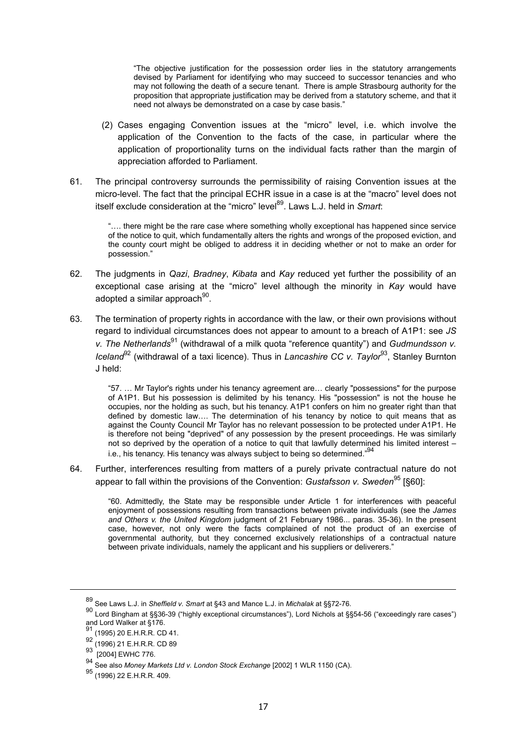"The objective justification for the possession order lies in the statutory arrangements devised by Parliament for identifying who may succeed to successor tenancies and who may not following the death of a secure tenant. There is ample Strasbourg authority for the proposition that appropriate justification may be derived from a statutory scheme, and that it need not always be demonstrated on a case by case basis."

- (2) Cases engaging Convention issues at the "micro" level, i.e. which involve the application of the Convention to the facts of the case, in particular where the application of proportionality turns on the individual facts rather than the margin of appreciation afforded to Parliament.
- 61. The principal controversy surrounds the permissibility of raising Convention issues at the micro-level. The fact that the principal ECHR issue in a case is at the "macro" level does not itself exclude consideration at the "micro" level<sup>89</sup>. Laws L.J. held in *Smart*:

"…. there might be the rare case where something wholly exceptional has happened since service of the notice to quit, which fundamentally alters the rights and wrongs of the proposed eviction, and the county court might be obliged to address it in deciding whether or not to make an order for possession."

- 62. The judgments in *Qazi*, *Bradney*, *Kibata* and *Kay* reduced yet further the possibility of an exceptional case arising at the "micro" level although the minority in *Kay* would have adopted a similar approach $90$ .
- 63. The termination of property rights in accordance with the law, or their own provisions without regard to individual circumstances does not appear to amount to a breach of A1P1: see *JS v. The Netherlands*91 (withdrawal of a milk quota "reference quantity") and *Gudmundsson v. Iceland*<sup>92</sup> (withdrawal of a taxi licence). Thus in *Lancashire CC v. Taylor*<sup>93</sup>, Stanley Burnton J held:

"57. … Mr Taylor's rights under his tenancy agreement are… clearly "possessions" for the purpose of A1P1. But his possession is delimited by his tenancy. His "possession" is not the house he occupies, nor the holding as such, but his tenancy. A1P1 confers on him no greater right than that defined by domestic law…. The determination of his tenancy by notice to quit means that as against the County Council Mr Taylor has no relevant possession to be protected under A1P1. He is therefore not being "deprived" of any possession by the present proceedings. He was similarly not so deprived by the operation of a notice to quit that lawfully determined his limited interest – i.e., his tenancy. His tenancy was always subject to being so determined."<sup>94</sup>

64. Further, interferences resulting from matters of a purely private contractual nature do not appear to fall within the provisions of the Convention: *Gustafsson v. Sweden*<sup>95</sup> [§60]:

"60. Admittedly, the State may be responsible under Article 1 for interferences with peaceful enjoyment of possessions resulting from transactions between private individuals (see the *James and Others v. the United Kingdom* judgment of 21 February 1986... paras. 35-36). In the present case, however, not only were the facts complained of not the product of an exercise of governmental authority, but they concerned exclusively relationships of a contractual nature between private individuals, namely the applicant and his suppliers or deliverers."

<sup>89</sup> See Laws L.J. in *Sheffield v. Smart* at §43 and Mance L.J. in *Michalak* at §§72-76.

<sup>90</sup> Lord Bingham at §§36-39 ("highly exceptional circumstances"), Lord Nichols at §§54-56 ("exceedingly rare cases") and Lord Walker at §176.

 $\frac{91}{91}$  (1995) 20 E.H.R.R. CD 41.

 $\frac{92}{93}$  (1996) 21 E.H.R.R. CD 89

<sup>[2004]</sup> EWHC 776.

<sup>94</sup> See also *Money Markets Ltd v. London Stock Exchange* [2002] 1 WLR 1150 (CA).

<sup>95 (1996) 22</sup> E.H.R.R. 409.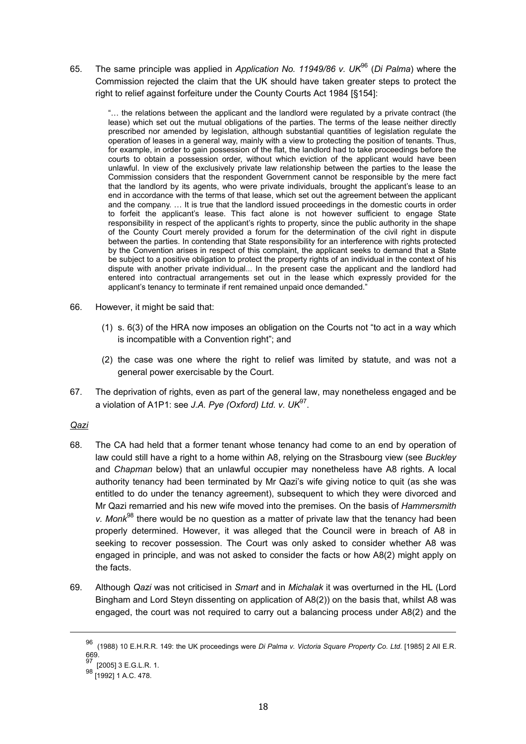65. The same principle was applied in *Application No. 11949/86 v. UK*<sup>96</sup> (*Di Palma*) where the Commission rejected the claim that the UK should have taken greater steps to protect the right to relief against forfeiture under the County Courts Act 1984 [§154]:

"… the relations between the applicant and the landlord were regulated by a private contract (the lease) which set out the mutual obligations of the parties. The terms of the lease neither directly prescribed nor amended by legislation, although substantial quantities of legislation regulate the operation of leases in a general way, mainly with a view to protecting the position of tenants. Thus, for example, in order to gain possession of the flat, the landlord had to take proceedings before the courts to obtain a possession order, without which eviction of the applicant would have been unlawful. In view of the exclusively private law relationship between the parties to the lease the Commission considers that the respondent Government cannot be responsible by the mere fact that the landlord by its agents, who were private individuals, brought the applicant's lease to an end in accordance with the terms of that lease, which set out the agreement between the applicant and the company. … It is true that the landlord issued proceedings in the domestic courts in order to forfeit the applicant's lease. This fact alone is not however sufficient to engage State responsibility in respect of the applicant's rights to property, since the public authority in the shape of the County Court merely provided a forum for the determination of the civil right in dispute between the parties. In contending that State responsibility for an interference with rights protected by the Convention arises in respect of this complaint, the applicant seeks to demand that a State be subject to a positive obligation to protect the property rights of an individual in the context of his dispute with another private individual... In the present case the applicant and the landlord had entered into contractual arrangements set out in the lease which expressly provided for the applicant's tenancy to terminate if rent remained unpaid once demanded."

- 66. However, it might be said that:
	- (1) s. 6(3) of the HRA now imposes an obligation on the Courts not "to act in a way which is incompatible with a Convention right"; and
	- (2) the case was one where the right to relief was limited by statute, and was not a general power exercisable by the Court.
- 67. The deprivation of rights, even as part of the general law, may nonetheless engaged and be a violation of A1P1: see *J.A. Pye (Oxford) Ltd. v. UK*97.

#### *Qazi*

- 68. The CA had held that a former tenant whose tenancy had come to an end by operation of law could still have a right to a home within A8, relying on the Strasbourg view (see *Buckley* and *Chapman* below) that an unlawful occupier may nonetheless have A8 rights. A local authority tenancy had been terminated by Mr Qazi's wife giving notice to quit (as she was entitled to do under the tenancy agreement), subsequent to which they were divorced and Mr Qazi remarried and his new wife moved into the premises. On the basis of *Hammersmith v. Monk*<sup>98</sup> there would be no question as a matter of private law that the tenancy had been properly determined. However, it was alleged that the Council were in breach of A8 in seeking to recover possession. The Court was only asked to consider whether A8 was engaged in principle, and was not asked to consider the facts or how A8(2) might apply on the facts.
- 69. Although *Qazi* was not criticised in *Smart* and in *Michalak* it was overturned in the HL (Lord Bingham and Lord Steyn dissenting on application of A8(2)) on the basis that, whilst A8 was engaged, the court was not required to carry out a balancing process under A8(2) and the

<sup>96 (1988) 10</sup> E.H.R.R. 149: the UK proceedings were *Di Palma v. Victoria Square Property Co. Ltd*. [1985] 2 All E.R. 669.

<sup>&</sup>lt;sup>97</sup> [2005] 3 E.G.L.R. 1.

<sup>&</sup>lt;sup>98</sup> [1992] 1 A.C. 478.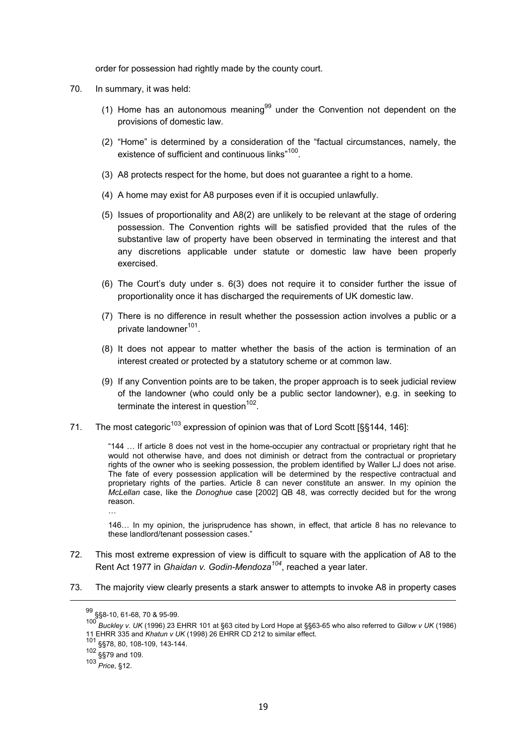order for possession had rightly made by the county court.

- 70. In summary, it was held:
	- (1) Home has an autonomous meaning<sup>99</sup> under the Convention not dependent on the provisions of domestic law.
	- (2) "Home" is determined by a consideration of the "factual circumstances, namely, the existence of sufficient and continuous links"<sup>100</sup>.
	- (3) A8 protects respect for the home, but does not guarantee a right to a home.
	- (4) A home may exist for A8 purposes even if it is occupied unlawfully.
	- (5) Issues of proportionality and A8(2) are unlikely to be relevant at the stage of ordering possession. The Convention rights will be satisfied provided that the rules of the substantive law of property have been observed in terminating the interest and that any discretions applicable under statute or domestic law have been properly exercised.
	- (6) The Court's duty under s. 6(3) does not require it to consider further the issue of proportionality once it has discharged the requirements of UK domestic law.
	- (7) There is no difference in result whether the possession action involves a public or a private landowner<sup>101</sup>.
	- (8) It does not appear to matter whether the basis of the action is termination of an interest created or protected by a statutory scheme or at common law.
	- (9) If any Convention points are to be taken, the proper approach is to seek judicial review of the landowner (who could only be a public sector landowner), e.g. in seeking to terminate the interest in question $102$ .
- 71. The most categoric<sup>103</sup> expression of opinion was that of Lord Scott [§§144, 146]:

"144 … If article 8 does not vest in the home-occupier any contractual or proprietary right that he would not otherwise have, and does not diminish or detract from the contractual or proprietary rights of the owner who is seeking possession, the problem identified by Waller LJ does not arise. The fate of every possession application will be determined by the respective contractual and proprietary rights of the parties. Article 8 can never constitute an answer. In my opinion the *McLellan* case, like the *Donoghue* case [2002] QB 48, was correctly decided but for the wrong reason.

…

146… In my opinion, the jurisprudence has shown, in effect, that article 8 has no relevance to these landlord/tenant possession cases."

- 72. This most extreme expression of view is difficult to square with the application of A8 to the Rent Act 1977 in *Ghaidan v. Godin-Mendoza<sup>104</sup>*, reached a year later.
- 73. The majority view clearly presents a stark answer to attempts to invoke A8 in property cases

<sup>99&</sup>lt;br>§§8-10, 61-68, 70 & 95-99.<br>100 Buddens 116 (4000) 00 F

<sup>100</sup> *Buckley v. UK* (1996) 23 EHRR 101 at §63 cited by Lord Hope at §§63-65 who also referred to *Gillow v UK* (1986) 11 EHRR 335 and *Khatun v UK* (1998) 26 EHRR CD 212 to similar effect. 101 §§78, 80, 108-109, 143-144.

<sup>102 §§79</sup> and 109.

<sup>103</sup> *Price*, §12.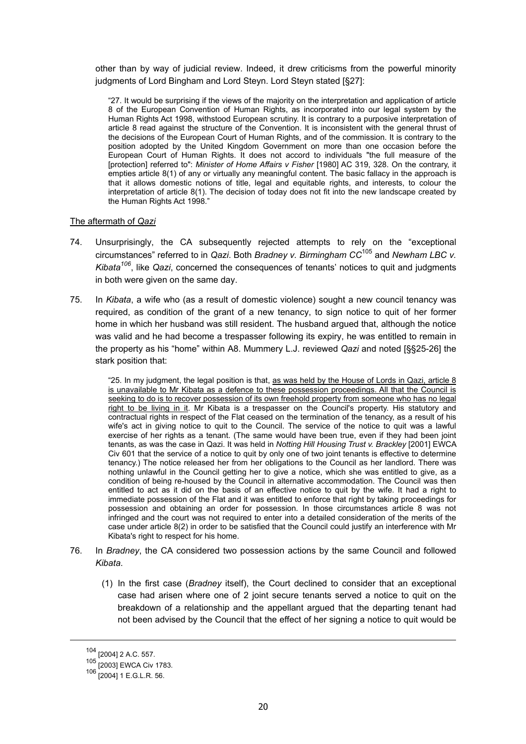other than by way of judicial review. Indeed, it drew criticisms from the powerful minority judgments of Lord Bingham and Lord Steyn. Lord Steyn stated [§27]:

"27. It would be surprising if the views of the majority on the interpretation and application of article 8 of the European Convention of Human Rights, as incorporated into our legal system by the Human Rights Act 1998, withstood European scrutiny. It is contrary to a purposive interpretation of article 8 read against the structure of the Convention. It is inconsistent with the general thrust of the decisions of the European Court of Human Rights, and of the commission. It is contrary to the position adopted by the United Kingdom Government on more than one occasion before the European Court of Human Rights. It does not accord to individuals "the full measure of the [protection] referred to": *Minister of Home Affairs v Fisher* [1980] AC 319, 328. On the contrary, it empties article 8(1) of any or virtually any meaningful content. The basic fallacy in the approach is that it allows domestic notions of title, legal and equitable rights, and interests, to colour the interpretation of article 8(1). The decision of today does not fit into the new landscape created by the Human Rights Act 1998."

#### The aftermath of *Qazi*

- 74. Unsurprisingly, the CA subsequently rejected attempts to rely on the "exceptional circumstances" referred to in *Qazi*. Both *Bradney v. Birmingham CC*105 and *Newham LBC v. Kibata106*, like *Qazi*, concerned the consequences of tenants' notices to quit and judgments in both were given on the same day.
- 75. In *Kibata*, a wife who (as a result of domestic violence) sought a new council tenancy was required, as condition of the grant of a new tenancy, to sign notice to quit of her former home in which her husband was still resident. The husband argued that, although the notice was valid and he had become a trespasser following its expiry, he was entitled to remain in the property as his "home" within A8. Mummery L.J. reviewed *Qazi* and noted [§§25-26] the stark position that:

"25. In my judgment, the legal position is that, as was held by the House of Lords in Qazi, article 8 is unavailable to Mr Kibata as a defence to these possession proceedings. All that the Council is seeking to do is to recover possession of its own freehold property from someone who has no legal right to be living in it. Mr Kibata is a trespasser on the Council's property. His statutory and contractual rights in respect of the Flat ceased on the termination of the tenancy, as a result of his wife's act in giving notice to quit to the Council. The service of the notice to quit was a lawful exercise of her rights as a tenant. (The same would have been true, even if they had been joint tenants, as was the case in Qazi. It was held in *Notting Hill Housing Trust v. Brackley* [2001] EWCA Civ 601 that the service of a notice to quit by only one of two joint tenants is effective to determine tenancy.) The notice released her from her obligations to the Council as her landlord. There was nothing unlawful in the Council getting her to give a notice, which she was entitled to give, as a condition of being re-housed by the Council in alternative accommodation. The Council was then entitled to act as it did on the basis of an effective notice to quit by the wife. It had a right to immediate possession of the Flat and it was entitled to enforce that right by taking proceedings for possession and obtaining an order for possession. In those circumstances article 8 was not infringed and the court was not required to enter into a detailed consideration of the merits of the case under article 8(2) in order to be satisfied that the Council could justify an interference with Mr Kibata's right to respect for his home.

- 76. In *Bradney*, the CA considered two possession actions by the same Council and followed *Kibata*.
	- (1) In the first case (*Bradney* itself), the Court declined to consider that an exceptional case had arisen where one of 2 joint secure tenants served a notice to quit on the breakdown of a relationship and the appellant argued that the departing tenant had not been advised by the Council that the effect of her signing a notice to quit would be

<sup>104 [2004] 2</sup> A.C. 557.

<sup>&</sup>lt;sup>105</sup> [2003] EWCA Civ 1783.

<sup>106 [2004] 1</sup> E.G.L.R. 56.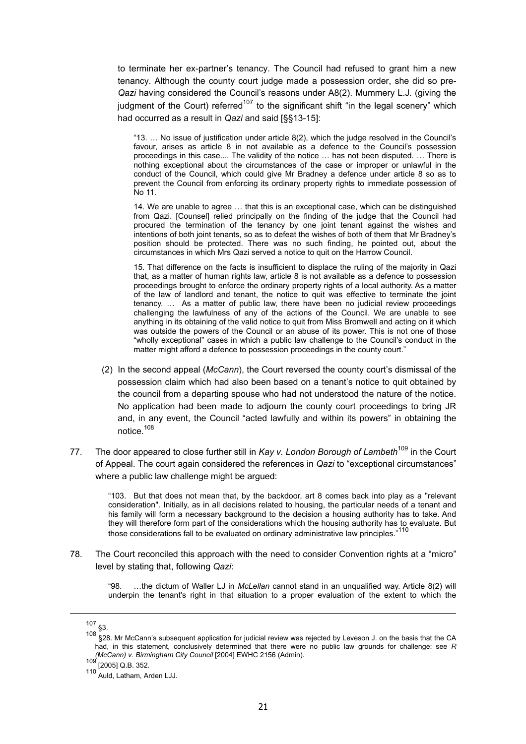to terminate her ex-partner's tenancy. The Council had refused to grant him a new tenancy. Although the county court judge made a possession order, she did so pre-*Qazi* having considered the Council's reasons under A8(2). Mummery L.J. (giving the iudgment of the Court) referred<sup>107</sup> to the significant shift "in the legal scenery" which had occurred as a result in *Qazi* and said [§§13-15]:

"13. … No issue of justification under article 8(2), which the judge resolved in the Council's favour, arises as article 8 in not available as a defence to the Council's possession proceedings in this case.... The validity of the notice … has not been disputed. … There is nothing exceptional about the circumstances of the case or improper or unlawful in the conduct of the Council, which could give Mr Bradney a defence under article 8 so as to prevent the Council from enforcing its ordinary property rights to immediate possession of No 11.

14. We are unable to agree … that this is an exceptional case, which can be distinguished from Qazi. [Counsel] relied principally on the finding of the judge that the Council had procured the termination of the tenancy by one joint tenant against the wishes and intentions of both joint tenants, so as to defeat the wishes of both of them that Mr Bradney's position should be protected. There was no such finding, he pointed out, about the circumstances in which Mrs Qazi served a notice to quit on the Harrow Council.

15. That difference on the facts is insufficient to displace the ruling of the majority in Qazi that, as a matter of human rights law, article 8 is not available as a defence to possession proceedings brought to enforce the ordinary property rights of a local authority. As a matter of the law of landlord and tenant, the notice to quit was effective to terminate the joint tenancy. … As a matter of public law, there have been no judicial review proceedings challenging the lawfulness of any of the actions of the Council. We are unable to see anything in its obtaining of the valid notice to quit from Miss Bromwell and acting on it which was outside the powers of the Council or an abuse of its power. This is not one of those "wholly exceptional" cases in which a public law challenge to the Council's conduct in the matter might afford a defence to possession proceedings in the county court."

- (2) In the second appeal (*McCann*), the Court reversed the county court's dismissal of the possession claim which had also been based on a tenant's notice to quit obtained by the council from a departing spouse who had not understood the nature of the notice. No application had been made to adjourn the county court proceedings to bring JR and, in any event, the Council "acted lawfully and within its powers" in obtaining the notice.<sup>108</sup>
- 77. The door appeared to close further still in *Kay v. London Borough of Lambeth*109 in the Court of Appeal. The court again considered the references in *Qazi* to "exceptional circumstances" where a public law challenge might be arqued:

"103. But that does not mean that, by the backdoor, art 8 comes back into play as a "relevant consideration". Initially, as in all decisions related to housing, the particular needs of a tenant and his family will form a necessary background to the decision a housing authority has to take. And they will therefore form part of the considerations which the housing authority has to evaluate. But those considerations fall to be evaluated on ordinary administrative law principles."<sup>110</sup>

78. The Court reconciled this approach with the need to consider Convention rights at a "micro" level by stating that, following *Qazi*:

"98. …the dictum of Waller LJ in *McLellan* cannot stand in an unqualified way. Article 8(2) will underpin the tenant's right in that situation to a proper evaluation of the extent to which the

 $107$  §3.

<sup>108 §28.</sup> Mr McCann's subsequent application for judicial review was rejected by Leveson J. on the basis that the CA had, in this statement, conclusively determined that there were no public law grounds for challenge: see *R (McCann) v. Birmingham City Council* [2004] EWHC 2156 (Admin). 109 [2005] Q.B. 352.

 $110$   $\mu$  Auld, Latham, Arden LJJ.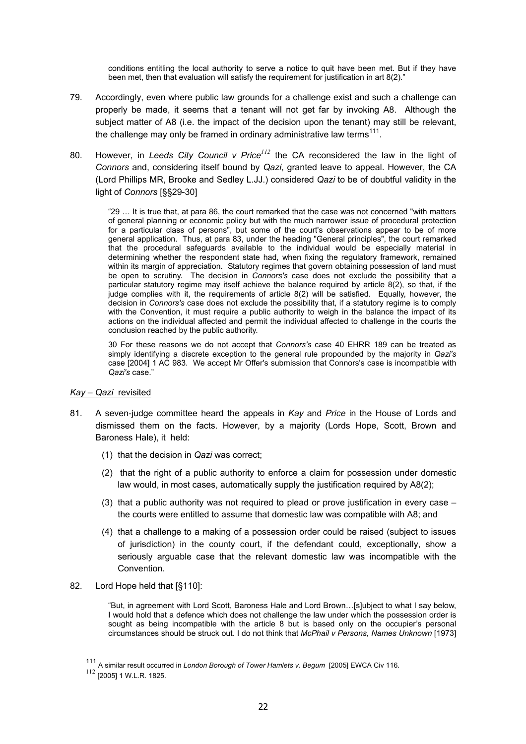conditions entitling the local authority to serve a notice to quit have been met. But if they have been met, then that evaluation will satisfy the requirement for justification in art 8(2)."

- 79. Accordingly, even where public law grounds for a challenge exist and such a challenge can properly be made, it seems that a tenant will not get far by invoking A8. Although the subject matter of A8 (i.e. the impact of the decision upon the tenant) may still be relevant, the challenge may only be framed in ordinary administrative law terms $111$ .
- 80. However, in *Leeds City Council v Price<sup>112</sup>* the CA reconsidered the law in the light of *Connors* and, considering itself bound by *Qazi*, granted leave to appeal. However, the CA (Lord Phillips MR, Brooke and Sedley L.JJ.) considered *Qazi* to be of doubtful validity in the light of *Connors* [§§29-30]

"29 … It is true that, at para 86, the court remarked that the case was not concerned "with matters of general planning or economic policy but with the much narrower issue of procedural protection for a particular class of persons", but some of the court's observations appear to be of more general application. Thus, at para 83, under the heading "General principles", the court remarked that the procedural safeguards available to the individual would be especially material in determining whether the respondent state had, when fixing the regulatory framework, remained within its margin of appreciation. Statutory regimes that govern obtaining possession of land must be open to scrutiny. The decision in *Connors's* case does not exclude the possibility that a particular statutory regime may itself achieve the balance required by article 8(2), so that, if the judge complies with it, the requirements of article 8(2) will be satisfied. Equally, however, the decision in *Connors's* case does not exclude the possibility that, if a statutory regime is to comply with the Convention, it must require a public authority to weigh in the balance the impact of its actions on the individual affected and permit the individual affected to challenge in the courts the conclusion reached by the public authority.

30 For these reasons we do not accept that *Connors's* case 40 EHRR 189 can be treated as simply identifying a discrete exception to the general rule propounded by the majority in *Qazi's* case [2004] 1 AC 983. We accept Mr Offer's submission that Connors's case is incompatible with *Qazi's* case."

#### *Kay* – *Qazi* revisited

- 81. A seven-judge committee heard the appeals in *Kay* and *Price* in the House of Lords and dismissed them on the facts. However, by a majority (Lords Hope, Scott, Brown and Baroness Hale), it held:
	- (1) that the decision in *Qazi* was correct;
	- (2) that the right of a public authority to enforce a claim for possession under domestic law would, in most cases, automatically supply the justification required by A8(2);
	- (3) that a public authority was not required to plead or prove justification in every case the courts were entitled to assume that domestic law was compatible with A8; and
	- (4) that a challenge to a making of a possession order could be raised (subject to issues of jurisdiction) in the county court, if the defendant could, exceptionally, show a seriously arguable case that the relevant domestic law was incompatible with the Convention.
- 82. Lord Hope held that [§110]:

"But, in agreement with Lord Scott, Baroness Hale and Lord Brown…[s]ubject to what I say below, I would hold that a defence which does not challenge the law under which the possession order is sought as being incompatible with the article 8 but is based only on the occupier's personal circumstances should be struck out. I do not think that *McPhail v Persons, Names Unknown* [1973]

<sup>111</sup> A similar result occurred in *London Borough of Tower Hamlets v. Begum* [2005] EWCA Civ 116.

 $112$  [2005] 1 W.L.R. 1825.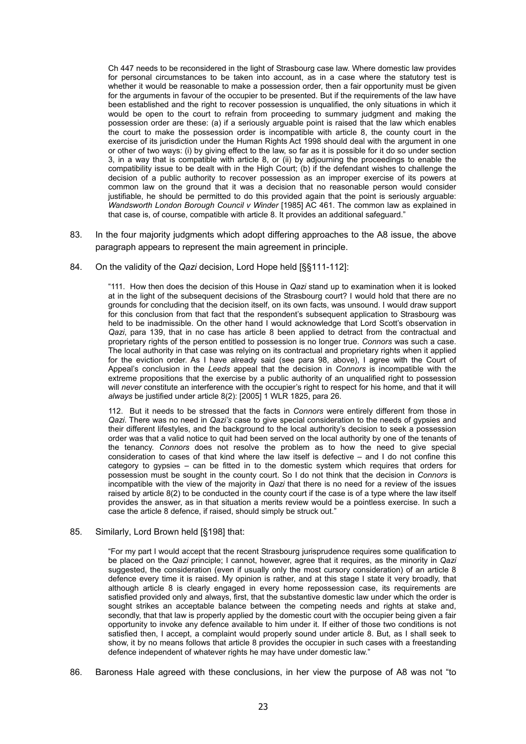Ch 447 needs to be reconsidered in the light of Strasbourg case law. Where domestic law provides for personal circumstances to be taken into account, as in a case where the statutory test is whether it would be reasonable to make a possession order, then a fair opportunity must be given for the arguments in favour of the occupier to be presented. But if the requirements of the law have been established and the right to recover possession is unqualified, the only situations in which it would be open to the court to refrain from proceeding to summary judgment and making the possession order are these: (a) if a seriously arguable point is raised that the law which enables the court to make the possession order is incompatible with article 8, the county court in the exercise of its jurisdiction under the Human Rights Act 1998 should deal with the argument in one or other of two ways: (i) by giving effect to the law, so far as it is possible for it do so under section 3, in a way that is compatible with article 8, or (ii) by adjourning the proceedings to enable the compatibility issue to be dealt with in the High Court; (b) if the defendant wishes to challenge the decision of a public authority to recover possession as an improper exercise of its powers at common law on the ground that it was a decision that no reasonable person would consider justifiable, he should be permitted to do this provided again that the point is seriously arguable: *Wandsworth London Borough Council v Winder* [1985] AC 461. The common law as explained in that case is, of course, compatible with article 8. It provides an additional safeguard."

- 83. In the four majority judgments which adopt differing approaches to the A8 issue, the above paragraph appears to represent the main agreement in principle.
- 84. On the validity of the *Qazi* decision, Lord Hope held [§§111-112]:

"111. How then does the decision of this House in *Qazi* stand up to examination when it is looked at in the light of the subsequent decisions of the Strasbourg court? I would hold that there are no grounds for concluding that the decision itself, on its own facts, was unsound. I would draw support for this conclusion from that fact that the respondent's subsequent application to Strasbourg was held to be inadmissible. On the other hand I would acknowledge that Lord Scott's observation in *Qazi*, para 139, that in no case has article 8 been applied to detract from the contractual and proprietary rights of the person entitled to possession is no longer true. *Connors* was such a case. The local authority in that case was relying on its contractual and proprietary rights when it applied for the eviction order. As I have already said (see para 98, above), I agree with the Court of Appeal's conclusion in the *Leeds* appeal that the decision in *Connors* is incompatible with the extreme propositions that the exercise by a public authority of an unqualified right to possession will *never* constitute an interference with the occupier's right to respect for his home, and that it will *always* be justified under article 8(2): [2005] 1 WLR 1825, para 26.

112. But it needs to be stressed that the facts in *Connors* were entirely different from those in *Qazi*. There was no need in *Qazi's* case to give special consideration to the needs of gypsies and their different lifestyles, and the background to the local authority's decision to seek a possession order was that a valid notice to quit had been served on the local authority by one of the tenants of the tenancy. *Connors* does not resolve the problem as to how the need to give special consideration to cases of that kind where the law itself is defective – and I do not confine this category to gypsies – can be fitted in to the domestic system which requires that orders for possession must be sought in the county court. So I do not think that the decision in *Connors* is incompatible with the view of the majority in *Qazi* that there is no need for a review of the issues raised by article 8(2) to be conducted in the county court if the case is of a type where the law itself provides the answer, as in that situation a merits review would be a pointless exercise. In such a case the article 8 defence, if raised, should simply be struck out."

#### 85. Similarly, Lord Brown held [§198] that:

"For my part I would accept that the recent Strasbourg jurisprudence requires some qualification to be placed on the *Qazi* principle; I cannot, however, agree that it requires, as the minority in *Qazi*  suggested, the consideration (even if usually only the most cursory consideration) of an article 8 defence every time it is raised. My opinion is rather, and at this stage I state it very broadly, that although article 8 is clearly engaged in every home repossession case, its requirements are satisfied provided only and always, first, that the substantive domestic law under which the order is sought strikes an acceptable balance between the competing needs and rights at stake and, secondly, that that law is properly applied by the domestic court with the occupier being given a fair opportunity to invoke any defence available to him under it. If either of those two conditions is not satisfied then, I accept, a complaint would properly sound under article 8. But, as I shall seek to show, it by no means follows that article 8 provides the occupier in such cases with a freestanding defence independent of whatever rights he may have under domestic law."

86. Baroness Hale agreed with these conclusions, in her view the purpose of A8 was not "to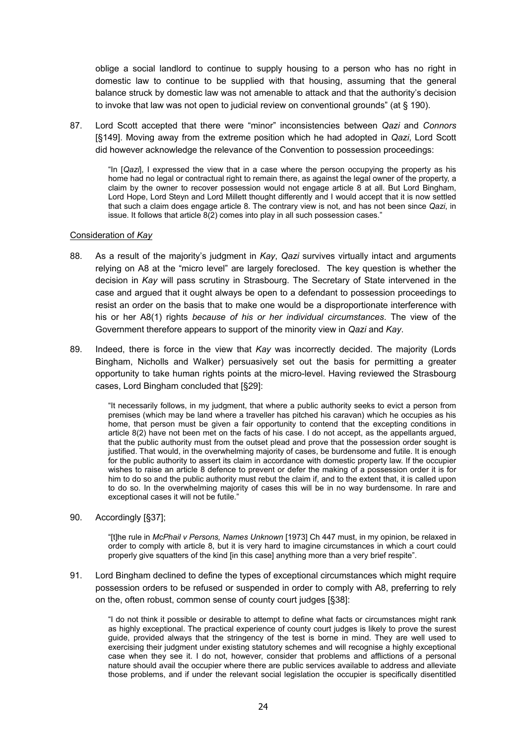oblige a social landlord to continue to supply housing to a person who has no right in domestic law to continue to be supplied with that housing, assuming that the general balance struck by domestic law was not amenable to attack and that the authority's decision to invoke that law was not open to judicial review on conventional grounds" (at § 190).

87. Lord Scott accepted that there were "minor" inconsistencies between *Qazi* and *Connors*  [§149]. Moving away from the extreme position which he had adopted in *Qazi*, Lord Scott did however acknowledge the relevance of the Convention to possession proceedings:

"In [*Qazi*], I expressed the view that in a case where the person occupying the property as his home had no legal or contractual right to remain there, as against the legal owner of the property, a claim by the owner to recover possession would not engage article 8 at all. But Lord Bingham, Lord Hope, Lord Steyn and Lord Millett thought differently and I would accept that it is now settled that such a claim does engage article 8. The contrary view is not, and has not been since *Qazi*, in issue. It follows that article 8(2) comes into play in all such possession cases."

#### Consideration of *Kay*

- 88. As a result of the majority's judgment in *Kay*, *Qazi* survives virtually intact and arguments relying on A8 at the "micro level" are largely foreclosed. The key question is whether the decision in *Kay* will pass scrutiny in Strasbourg. The Secretary of State intervened in the case and argued that it ought always be open to a defendant to possession proceedings to resist an order on the basis that to make one would be a disproportionate interference with his or her A8(1) rights *because of his or her individual circumstances*. The view of the Government therefore appears to support of the minority view in *Qazi* and *Kay*.
- 89. Indeed, there is force in the view that *Kay* was incorrectly decided. The majority (Lords Bingham, Nicholls and Walker) persuasively set out the basis for permitting a greater opportunity to take human rights points at the micro-level. Having reviewed the Strasbourg cases, Lord Bingham concluded that [§29]:

"It necessarily follows, in my judgment, that where a public authority seeks to evict a person from premises (which may be land where a traveller has pitched his caravan) which he occupies as his home, that person must be given a fair opportunity to contend that the excepting conditions in article 8(2) have not been met on the facts of his case. I do not accept, as the appellants argued, that the public authority must from the outset plead and prove that the possession order sought is justified. That would, in the overwhelming majority of cases, be burdensome and futile. It is enough for the public authority to assert its claim in accordance with domestic property law. If the occupier wishes to raise an article 8 defence to prevent or defer the making of a possession order it is for him to do so and the public authority must rebut the claim if, and to the extent that, it is called upon to do so. In the overwhelming majority of cases this will be in no way burdensome. In rare and exceptional cases it will not be futile."

90. Accordingly [§37];

"[t]he rule in *McPhail v Persons, Names Unknown* [1973] Ch 447 must, in my opinion, be relaxed in order to comply with article 8, but it is very hard to imagine circumstances in which a court could properly give squatters of the kind [in this case] anything more than a very brief respite".

91. Lord Bingham declined to define the types of exceptional circumstances which might require possession orders to be refused or suspended in order to comply with A8, preferring to rely on the, often robust, common sense of county court judges [§38]:

"I do not think it possible or desirable to attempt to define what facts or circumstances might rank as highly exceptional. The practical experience of county court judges is likely to prove the surest guide, provided always that the stringency of the test is borne in mind. They are well used to exercising their judgment under existing statutory schemes and will recognise a highly exceptional case when they see it. I do not, however, consider that problems and afflictions of a personal nature should avail the occupier where there are public services available to address and alleviate those problems, and if under the relevant social legislation the occupier is specifically disentitled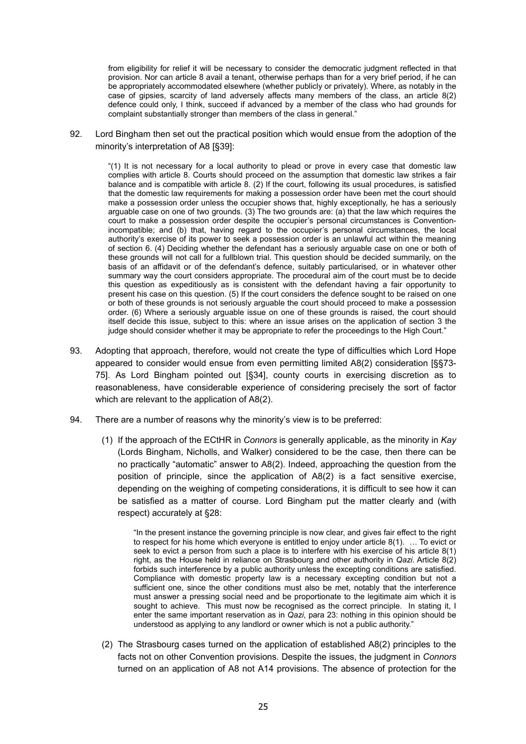from eligibility for relief it will be necessary to consider the democratic judgment reflected in that provision. Nor can article 8 avail a tenant, otherwise perhaps than for a very brief period, if he can be appropriately accommodated elsewhere (whether publicly or privately). Where, as notably in the case of gipsies, scarcity of land adversely affects many members of the class, an article 8(2) defence could only, I think, succeed if advanced by a member of the class who had grounds for complaint substantially stronger than members of the class in general."

92. Lord Bingham then set out the practical position which would ensue from the adoption of the minority's interpretation of A8 [§39]:

"(1) It is not necessary for a local authority to plead or prove in every case that domestic law complies with article 8. Courts should proceed on the assumption that domestic law strikes a fair balance and is compatible with article 8. (2) If the court, following its usual procedures, is satisfied that the domestic law requirements for making a possession order have been met the court should make a possession order unless the occupier shows that, highly exceptionally, he has a seriously arguable case on one of two grounds. (3) The two grounds are: (a) that the law which requires the court to make a possession order despite the occupier's personal circumstances is Conventionincompatible; and (b) that, having regard to the occupier's personal circumstances, the local authority's exercise of its power to seek a possession order is an unlawful act within the meaning of section 6. (4) Deciding whether the defendant has a seriously arguable case on one or both of these grounds will not call for a fullblown trial. This question should be decided summarily, on the basis of an affidavit or of the defendant's defence, suitably particularised, or in whatever other summary way the court considers appropriate. The procedural aim of the court must be to decide this question as expeditiously as is consistent with the defendant having a fair opportunity to present his case on this question. (5) If the court considers the defence sought to be raised on one or both of these grounds is not seriously arguable the court should proceed to make a possession order. (6) Where a seriously arguable issue on one of these grounds is raised, the court should itself decide this issue, subject to this: where an issue arises on the application of section 3 the judge should consider whether it may be appropriate to refer the proceedings to the High Court."

- 93. Adopting that approach, therefore, would not create the type of difficulties which Lord Hope appeared to consider would ensue from even permitting limited A8(2) consideration [§§73- 75]. As Lord Bingham pointed out [§34], county courts in exercising discretion as to reasonableness, have considerable experience of considering precisely the sort of factor which are relevant to the application of A8(2).
- 94. There are a number of reasons why the minority's view is to be preferred:
	- (1) If the approach of the ECtHR in *Connors* is generally applicable, as the minority in *Kay* (Lords Bingham, Nicholls, and Walker) considered to be the case, then there can be no practically "automatic" answer to A8(2). Indeed, approaching the question from the position of principle, since the application of A8(2) is a fact sensitive exercise, depending on the weighing of competing considerations, it is difficult to see how it can be satisfied as a matter of course. Lord Bingham put the matter clearly and (with respect) accurately at §28:

"In the present instance the governing principle is now clear, and gives fair effect to the right to respect for his home which everyone is entitled to enjoy under article 8(1). … To evict or seek to evict a person from such a place is to interfere with his exercise of his article 8(1) right, as the House held in reliance on Strasbourg and other authority in *Qazi*. Article 8(2) forbids such interference by a public authority unless the excepting conditions are satisfied. Compliance with domestic property law is a necessary excepting condition but not a sufficient one, since the other conditions must also be met, notably that the interference must answer a pressing social need and be proportionate to the legitimate aim which it is sought to achieve. This must now be recognised as the correct principle. In stating it, I enter the same important reservation as in *Qazi*, para 23: nothing in this opinion should be understood as applying to any landlord or owner which is not a public authority."

(2) The Strasbourg cases turned on the application of established A8(2) principles to the facts not on other Convention provisions. Despite the issues, the judgment in *Connors* turned on an application of A8 not A14 provisions. The absence of protection for the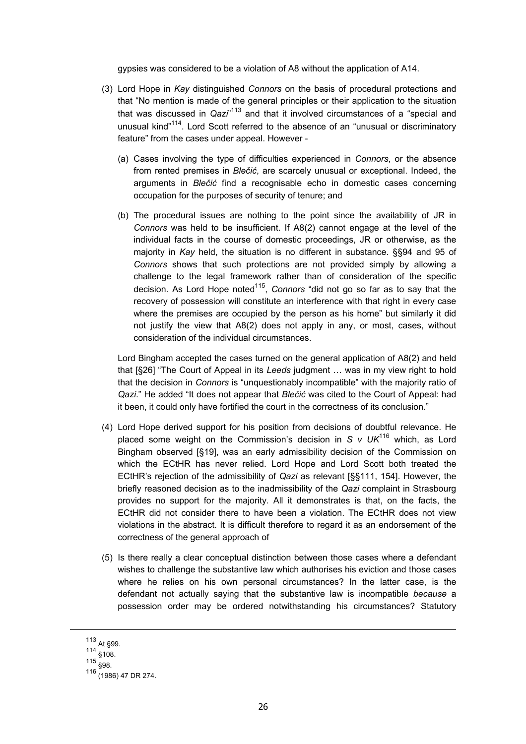gypsies was considered to be a violation of A8 without the application of A14.

- (3) Lord Hope in *Kay* distinguished *Connors* on the basis of procedural protections and that "No mention is made of the general principles or their application to the situation that was discussed in *Qazi*" 113 and that it involved circumstances of a "special and unusual kind<sup>"114</sup>. Lord Scott referred to the absence of an "unusual or discriminatory feature" from the cases under appeal. However -
	- (a) Cases involving the type of difficulties experienced in *Connors*, or the absence from rented premises in *Blečić*, are scarcely unusual or exceptional. Indeed, the arguments in *Blečić* find a recognisable echo in domestic cases concerning occupation for the purposes of security of tenure; and
	- (b) The procedural issues are nothing to the point since the availability of JR in *Connors* was held to be insufficient. If A8(2) cannot engage at the level of the individual facts in the course of domestic proceedings, JR or otherwise, as the majority in *Kay* held, the situation is no different in substance. §§94 and 95 of *Connors* shows that such protections are not provided simply by allowing a challenge to the legal framework rather than of consideration of the specific decision. As Lord Hope noted115, *Connors* "did not go so far as to say that the recovery of possession will constitute an interference with that right in every case where the premises are occupied by the person as his home" but similarly it did not justify the view that A8(2) does not apply in any, or most, cases, without consideration of the individual circumstances.

Lord Bingham accepted the cases turned on the general application of A8(2) and held that [§26] "The Court of Appeal in its *Leeds* judgment … was in my view right to hold that the decision in *Connors* is "unquestionably incompatible" with the majority ratio of *Qazi*." He added "It does not appear that *Blečić* was cited to the Court of Appeal: had it been, it could only have fortified the court in the correctness of its conclusion."

- (4) Lord Hope derived support for his position from decisions of doubtful relevance. He placed some weight on the Commission's decision in *S v UK*116 which, as Lord Bingham observed [§19], was an early admissibility decision of the Commission on which the ECtHR has never relied. Lord Hope and Lord Scott both treated the ECtHR's rejection of the admissibility of *Qazi* as relevant [§§111, 154]. However, the briefly reasoned decision as to the inadmissibility of the *Qazi* complaint in Strasbourg provides no support for the majority. All it demonstrates is that, on the facts, the ECtHR did not consider there to have been a violation. The ECtHR does not view violations in the abstract. It is difficult therefore to regard it as an endorsement of the correctness of the general approach of
- (5) Is there really a clear conceptual distinction between those cases where a defendant wishes to challenge the substantive law which authorises his eviction and those cases where he relies on his own personal circumstances? In the latter case, is the defendant not actually saying that the substantive law is incompatible *because* a possession order may be ordered notwithstanding his circumstances? Statutory

<sup>113</sup> At §99.

 $114 \overline{\$108}$ 

 $115 \frac{1}{15}$  \$98.

 $116 \frac{300}{(1986) 47}$  DR 274.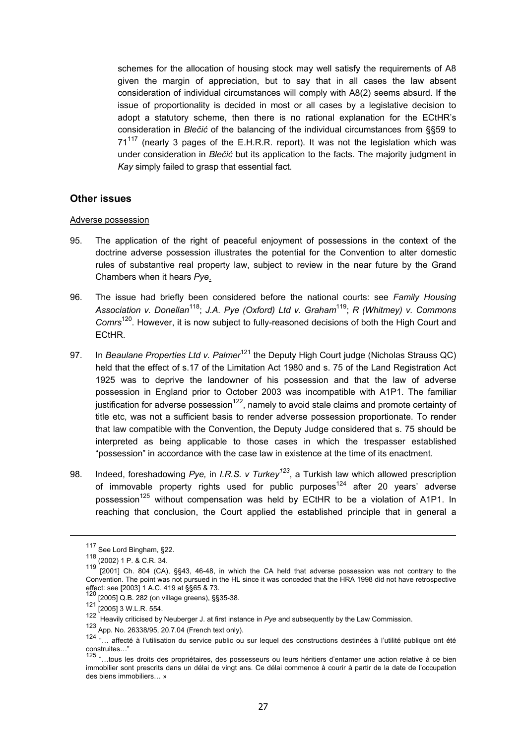schemes for the allocation of housing stock may well satisfy the requirements of A8 given the margin of appreciation, but to say that in all cases the law absent consideration of individual circumstances will comply with A8(2) seems absurd. If the issue of proportionality is decided in most or all cases by a legislative decision to adopt a statutory scheme, then there is no rational explanation for the ECtHR's consideration in *Blečić* of the balancing of the individual circumstances from §§59 to  $71^{117}$  (nearly 3 pages of the E.H.R.R. report). It was not the legislation which was under consideration in *Blečić* but its application to the facts. The majority judgment in *Kay* simply failed to grasp that essential fact.

#### **Other issues**

#### Adverse possession

- 95. The application of the right of peaceful enjoyment of possessions in the context of the doctrine adverse possession illustrates the potential for the Convention to alter domestic rules of substantive real property law, subject to review in the near future by the Grand Chambers when it hears *Pye*.
- 96. The issue had briefly been considered before the national courts: see *Family Housing Association v. Donellan*118; *J.A. Pye (Oxford) Ltd v. Graham*119; *R (Whitmey) v. Commons Comrs*120. However, it is now subject to fully-reasoned decisions of both the High Court and ECtHR.
- 97. In *Beaulane Properties Ltd v. Palmer*<sup>121</sup> the Deputy High Court judge (Nicholas Strauss QC) held that the effect of s.17 of the Limitation Act 1980 and s. 75 of the Land Registration Act 1925 was to deprive the landowner of his possession and that the law of adverse possession in England prior to October 2003 was incompatible with A1P1. The familiar justification for adverse possession<sup>122</sup>, namely to avoid stale claims and promote certainty of title etc, was not a sufficient basis to render adverse possession proportionate. To render that law compatible with the Convention, the Deputy Judge considered that s. 75 should be interpreted as being applicable to those cases in which the trespasser established "possession" in accordance with the case law in existence at the time of its enactment.
- 98. Indeed, foreshadowing *Pye,* in *I.R.S. v Turkey123*, a Turkish law which allowed prescription of immovable property rights used for public purposes<sup>124</sup> after 20 years' adverse possession<sup>125</sup> without compensation was held by ECtHR to be a violation of A1P1. In reaching that conclusion, the Court applied the established principle that in general a

<sup>117</sup> See Lord Bingham, §22.

<sup>118 (2002) 1</sup> P. & C.R. 34.

 $119$  [2001] Ch. 804 (CA), §§43, 46-48, in which the CA held that adverse possession was not contrary to the Convention. The point was not pursued in the HL since it was conceded that the HRA 1998 did not have retrospective

effect: see [2003] 1 A.C. 419 at §§65 & 73.<br><sup>120</sup> [2005] Q.B. 282 (on village greens), §§35-38.

 $121$  [2005] 3 W.L.R. 554.

<sup>122</sup> Heavily criticised by Neuberger J. at first instance in *Pye* and subsequently by the Law Commission.

<sup>123</sup> App. No. 26338/95, 20.7.04 (French text only).

<sup>124 &</sup>quot;… affecté à l'utilisation du service public ou sur lequel des constructions destinées à l'utilité publique ont été

construites…"<br><sup>125</sup> "…tous les droits des propriétaires, des possesseurs ou leurs héritiers d'entamer une action relative à ce bien immobilier sont prescrits dans un délai de vingt ans. Ce délai commence à courir à partir de la date de l'occupation des biens immobiliers… »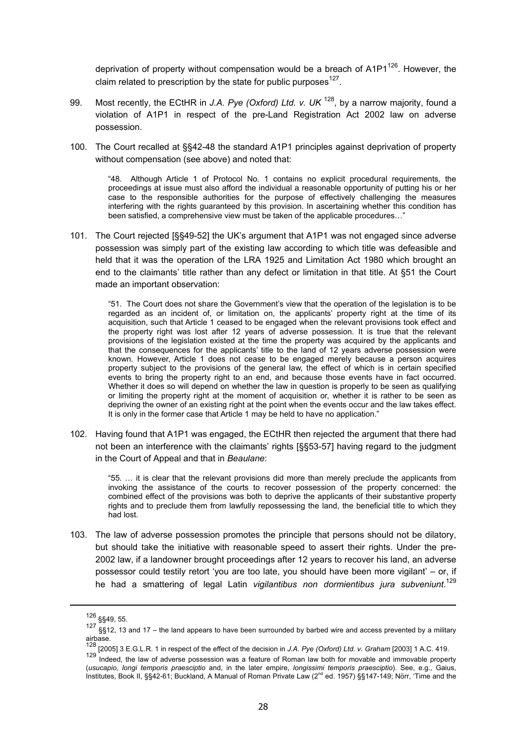deprivation of property without compensation would be a breach of  $A1P1^{126}$ . However, the claim related to prescription by the state for public purposes  $127$ .

- 99. Most recently, the ECtHR in *J.A. Pye (Oxford) Ltd. v. UK* 128, by a narrow majority, found a violation of A1P1 in respect of the pre-Land Registration Act 2002 law on adverse possession.
- 100. The Court recalled at §§42-48 the standard A1P1 principles against deprivation of property without compensation (see above) and noted that:

"48. Although Article 1 of Protocol No. 1 contains no explicit procedural requirements, the proceedings at issue must also afford the individual a reasonable opportunity of putting his or her case to the responsible authorities for the purpose of effectively challenging the measures interfering with the rights guaranteed by this provision. In ascertaining whether this condition has been satisfied, a comprehensive view must be taken of the applicable procedures…"

101. The Court rejected [§§49-52] the UK's argument that A1P1 was not engaged since adverse possession was simply part of the existing law according to which title was defeasible and held that it was the operation of the LRA 1925 and Limitation Act 1980 which brought an end to the claimants' title rather than any defect or limitation in that title. At §51 the Court made an important observation:

"51. The Court does not share the Government's view that the operation of the legislation is to be regarded as an incident of, or limitation on, the applicants' property right at the time of its acquisition, such that Article 1 ceased to be engaged when the relevant provisions took effect and the property right was lost after 12 years of adverse possession. It is true that the relevant provisions of the legislation existed at the time the property was acquired by the applicants and that the consequences for the applicants' title to the land of 12 years adverse possession were known. However, Article 1 does not cease to be engaged merely because a person acquires property subject to the provisions of the general law, the effect of which is in certain specified events to bring the property right to an end, and because those events have in fact occurred. Whether it does so will depend on whether the law in question is properly to be seen as qualifying or limiting the property right at the moment of acquisition or, whether it is rather to be seen as depriving the owner of an existing right at the point when the events occur and the law takes effect. It is only in the former case that Article 1 may be held to have no application."

102. Having found that A1P1 was engaged, the ECtHR then rejected the argument that there had not been an interference with the claimants' rights [§§53-57] having regard to the judgment in the Court of Appeal and that in *Beaulane*:

"55. … it is clear that the relevant provisions did more than merely preclude the applicants from invoking the assistance of the courts to recover possession of the property concerned: the combined effect of the provisions was both to deprive the applicants of their substantive property rights and to preclude them from lawfully repossessing the land, the beneficial title to which they had lost.

103. The law of adverse possession promotes the principle that persons should not be dilatory, but should take the initiative with reasonable speed to assert their rights. Under the pre-2002 law, if a landowner brought proceedings after 12 years to recover his land, an adverse possessor could testily retort 'you are too late, you should have been more vigilant' – or, if he had a smattering of legal Latin *vigilantibus non dormientibus jura subveniunt*. 129

<sup>&</sup>lt;sup>126</sup> §§49, 55.

 $127 \text{ s}$  s<sub>212</sub>, 13 and 17 – the land appears to have been surrounded by barbed wire and access prevented by a military airbase. 128 airbase.<br>128 airbase.<br>128 [2005] 3 E.G.L.R. 1 in respect of the effect of the decision in *J.A. Pye (Oxford) Ltd. v. Graham* [2003] 1 A.C. 419.

<sup>129</sup> Indeed, the law of adverse possession was a feature of Roman law both for movable and immovable property (*usucapio*, *longi temporis praesciptio* and, in the later empire, *longissimi temporis praesciptio*). See, e.g., Gaius, Institutes, Book II, §§42-61; Buckland, A Manual of Roman Private Law ( $2<sup>nd</sup>$  ed. 1957) §§147-149; Nörr, 'Time and the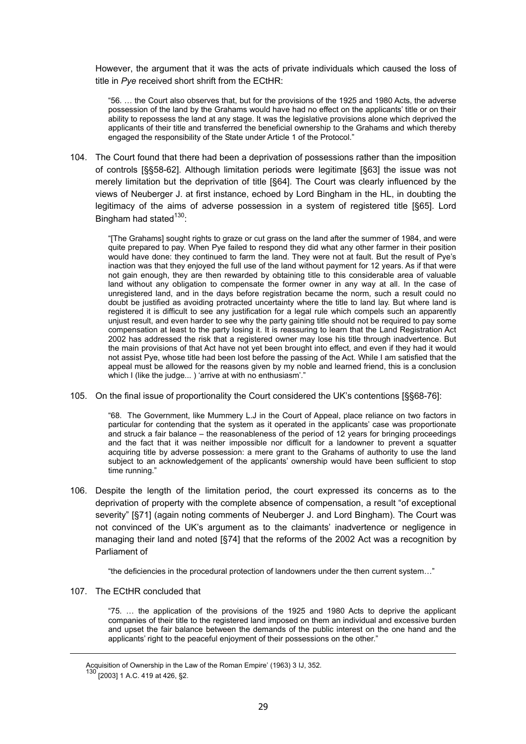However, the argument that it was the acts of private individuals which caused the loss of title in *Pye* received short shrift from the ECtHR:

"56. … the Court also observes that, but for the provisions of the 1925 and 1980 Acts, the adverse possession of the land by the Grahams would have had no effect on the applicants' title or on their ability to repossess the land at any stage. It was the legislative provisions alone which deprived the applicants of their title and transferred the beneficial ownership to the Grahams and which thereby engaged the responsibility of the State under Article 1 of the Protocol."

104. The Court found that there had been a deprivation of possessions rather than the imposition of controls [§§58-62]. Although limitation periods were legitimate [§63] the issue was not merely limitation but the deprivation of title [§64]. The Court was clearly influenced by the views of Neuberger J. at first instance, echoed by Lord Bingham in the HL, in doubting the legitimacy of the aims of adverse possession in a system of registered title [§65]. Lord Bingham had stated<sup>130</sup>:

"[The Grahams] sought rights to graze or cut grass on the land after the summer of 1984, and were quite prepared to pay. When Pye failed to respond they did what any other farmer in their position would have done: they continued to farm the land. They were not at fault. But the result of Pye's inaction was that they enjoyed the full use of the land without payment for 12 years. As if that were not gain enough, they are then rewarded by obtaining title to this considerable area of valuable land without any obligation to compensate the former owner in any way at all. In the case of unregistered land, and in the days before registration became the norm, such a result could no doubt be justified as avoiding protracted uncertainty where the title to land lay. But where land is registered it is difficult to see any justification for a legal rule which compels such an apparently unjust result, and even harder to see why the party gaining title should not be required to pay some compensation at least to the party losing it. It is reassuring to learn that the Land Registration Act 2002 has addressed the risk that a registered owner may lose his title through inadvertence. But the main provisions of that Act have not yet been brought into effect, and even if they had it would not assist Pye, whose title had been lost before the passing of the Act. While I am satisfied that the appeal must be allowed for the reasons given by my noble and learned friend, this is a conclusion which I (like the judge...) 'arrive at with no enthusiasm'."

105. On the final issue of proportionality the Court considered the UK's contentions [§§68-76]:

"68. The Government, like Mummery L.J in the Court of Appeal, place reliance on two factors in particular for contending that the system as it operated in the applicants' case was proportionate and struck a fair balance – the reasonableness of the period of 12 years for bringing proceedings and the fact that it was neither impossible nor difficult for a landowner to prevent a squatter acquiring title by adverse possession: a mere grant to the Grahams of authority to use the land subject to an acknowledgement of the applicants' ownership would have been sufficient to stop time running."

106. Despite the length of the limitation period, the court expressed its concerns as to the deprivation of property with the complete absence of compensation, a result "of exceptional severity" [§71] (again noting comments of Neuberger J. and Lord Bingham). The Court was not convinced of the UK's argument as to the claimants' inadvertence or negligence in managing their land and noted [§74] that the reforms of the 2002 Act was a recognition by Parliament of

"the deficiencies in the procedural protection of landowners under the then current system…"

#### 107. The ECtHR concluded that

"75. … the application of the provisions of the 1925 and 1980 Acts to deprive the applicant companies of their title to the registered land imposed on them an individual and excessive burden and upset the fair balance between the demands of the public interest on the one hand and the applicants' right to the peaceful enjoyment of their possessions on the other."

Acquisition of Ownership in the Law of the Roman Empire' (1963) 3 IJ, 352.

<sup>[2003] 1</sup> A.C. 419 at 426, §2.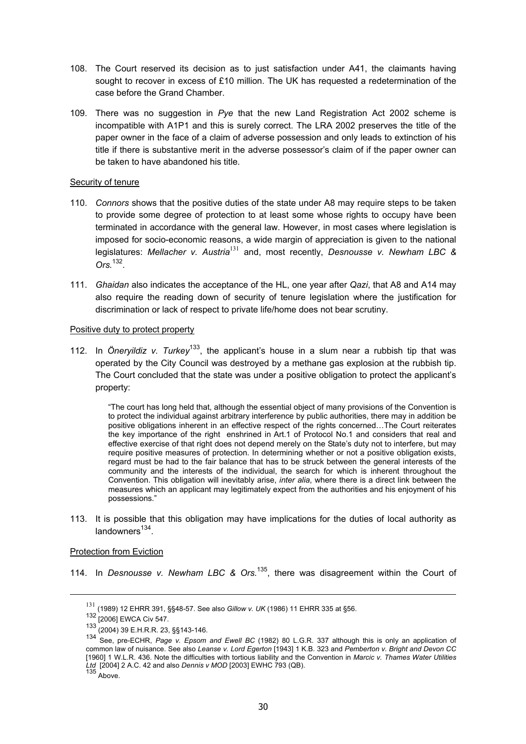- 108. The Court reserved its decision as to just satisfaction under A41, the claimants having sought to recover in excess of £10 million. The UK has requested a redetermination of the case before the Grand Chamber.
- 109. There was no suggestion in *Pye* that the new Land Registration Act 2002 scheme is incompatible with A1P1 and this is surely correct. The LRA 2002 preserves the title of the paper owner in the face of a claim of adverse possession and only leads to extinction of his title if there is substantive merit in the adverse possessor's claim of if the paper owner can be taken to have abandoned his title.

#### Security of tenure

- 110. *Connors* shows that the positive duties of the state under A8 may require steps to be taken to provide some degree of protection to at least some whose rights to occupy have been terminated in accordance with the general law. However, in most cases where legislation is imposed for socio-economic reasons, a wide margin of appreciation is given to the national legislatures: *Mellacher v. Austria*131 and, most recently, *Desnousse v. Newham LBC & Ors.*132.
- 111. *Ghaidan* also indicates the acceptance of the HL, one year after *Qazi*, that A8 and A14 may also require the reading down of security of tenure legislation where the justification for discrimination or lack of respect to private life/home does not bear scrutiny.

#### Positive duty to protect property

112. In *Öneryildiz v. Turkey*133, the applicant's house in a slum near a rubbish tip that was operated by the City Council was destroyed by a methane gas explosion at the rubbish tip. The Court concluded that the state was under a positive obligation to protect the applicant's property:

"The court has long held that, although the essential object of many provisions of the Convention is to protect the individual against arbitrary interference by public authorities, there may in addition be positive obligations inherent in an effective respect of the rights concerned…The Court reiterates the key importance of the right enshrined in Art.1 of Protocol No.1 and considers that real and effective exercise of that right does not depend merely on the State's duty not to interfere, but may require positive measures of protection. In determining whether or not a positive obligation exists, regard must be had to the fair balance that has to be struck between the general interests of the community and the interests of the individual, the search for which is inherent throughout the Convention. This obligation will inevitably arise, *inter alia*, where there is a direct link between the measures which an applicant may legitimately expect from the authorities and his enjoyment of his possessions."

113. It is possible that this obligation may have implications for the duties of local authority as  $landowners<sup>134</sup>$ 

#### Protection from Eviction

114. In *Desnousse v. Newham LBC & Ors.*135, there was disagreement within the Court of

<sup>131</sup> (1989) 12 EHRR 391, §§48-57. See also *Gillow v. UK* (1986) 11 EHRR 335 at §56.

<sup>132 [2006]</sup> EWCA Civ 547.

<sup>133 (2004) 39</sup> E.H.R.R. 23, §§143-146.

<sup>134</sup> See, pre-ECHR, *Page v. Epsom and Ewell BC* (1982) 80 L.G.R. 337 although this is only an application of common law of nuisance. See also *Leanse v. Lord Egerton* [1943] 1 K.B. 323 and *Pemberton v. Bright and Devon CC*  [1960] 1 W.L.R. 436. Note the difficulties with tortious liability and the Convention in *Marcic v. Thames Water Utilities Ltd* [2004] 2 A.C. 42 and also *Dennis v MOD* [2003] EWHC 793 (QB). 135 Above.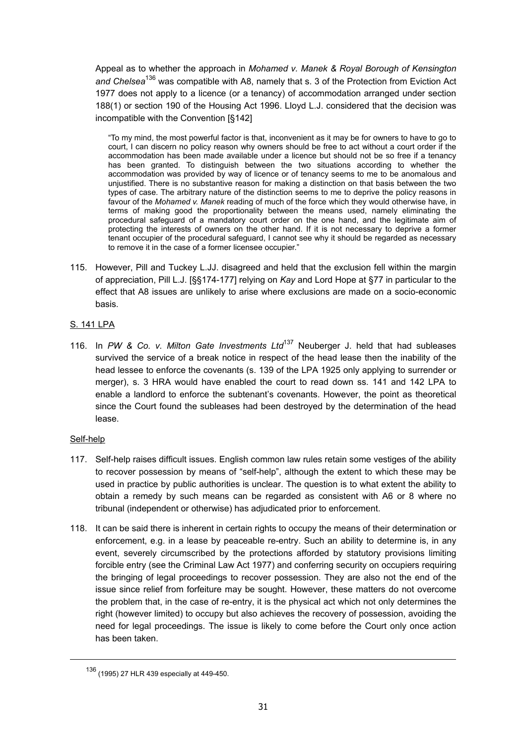Appeal as to whether the approach in *Mohamed v. Manek & Royal Borough of Kensington and Chelsea*136 was compatible with A8, namely that s. 3 of the Protection from Eviction Act 1977 does not apply to a licence (or a tenancy) of accommodation arranged under section 188(1) or section 190 of the Housing Act 1996. Lloyd L.J. considered that the decision was incompatible with the Convention [§142]

"To my mind, the most powerful factor is that, inconvenient as it may be for owners to have to go to court, I can discern no policy reason why owners should be free to act without a court order if the accommodation has been made available under a licence but should not be so free if a tenancy has been granted. To distinguish between the two situations according to whether the accommodation was provided by way of licence or of tenancy seems to me to be anomalous and unjustified. There is no substantive reason for making a distinction on that basis between the two types of case. The arbitrary nature of the distinction seems to me to deprive the policy reasons in favour of the *Mohamed v. Manek* reading of much of the force which they would otherwise have, in terms of making good the proportionality between the means used, namely eliminating the procedural safeguard of a mandatory court order on the one hand, and the legitimate aim of protecting the interests of owners on the other hand. If it is not necessary to deprive a former tenant occupier of the procedural safeguard, I cannot see why it should be regarded as necessary to remove it in the case of a former licensee occupier."

115. However, Pill and Tuckey L.JJ. disagreed and held that the exclusion fell within the margin of appreciation, Pill L.J. [§§174-177] relying on *Kay* and Lord Hope at §77 in particular to the effect that A8 issues are unlikely to arise where exclusions are made on a socio-economic basis.

#### S. 141 LPA

116. In *PW & Co. v. Milton Gate Investments Ltd*<sup>137</sup> Neuberger J. held that had subleases survived the service of a break notice in respect of the head lease then the inability of the head lessee to enforce the covenants (s. 139 of the LPA 1925 only applying to surrender or merger), s. 3 HRA would have enabled the court to read down ss. 141 and 142 LPA to enable a landlord to enforce the subtenant's covenants. However, the point as theoretical since the Court found the subleases had been destroyed by the determination of the head lease.

#### Self-help

- 117. Self-help raises difficult issues. English common law rules retain some vestiges of the ability to recover possession by means of "self-help", although the extent to which these may be used in practice by public authorities is unclear. The question is to what extent the ability to obtain a remedy by such means can be regarded as consistent with A6 or 8 where no tribunal (independent or otherwise) has adjudicated prior to enforcement.
- 118. It can be said there is inherent in certain rights to occupy the means of their determination or enforcement, e.g. in a lease by peaceable re-entry. Such an ability to determine is, in any event, severely circumscribed by the protections afforded by statutory provisions limiting forcible entry (see the Criminal Law Act 1977) and conferring security on occupiers requiring the bringing of legal proceedings to recover possession. They are also not the end of the issue since relief from forfeiture may be sought. However, these matters do not overcome the problem that, in the case of re-entry, it is the physical act which not only determines the right (however limited) to occupy but also achieves the recovery of possession, avoiding the need for legal proceedings. The issue is likely to come before the Court only once action has been taken.

<sup>136 (1995) 27</sup> HLR 439 especially at 449-450.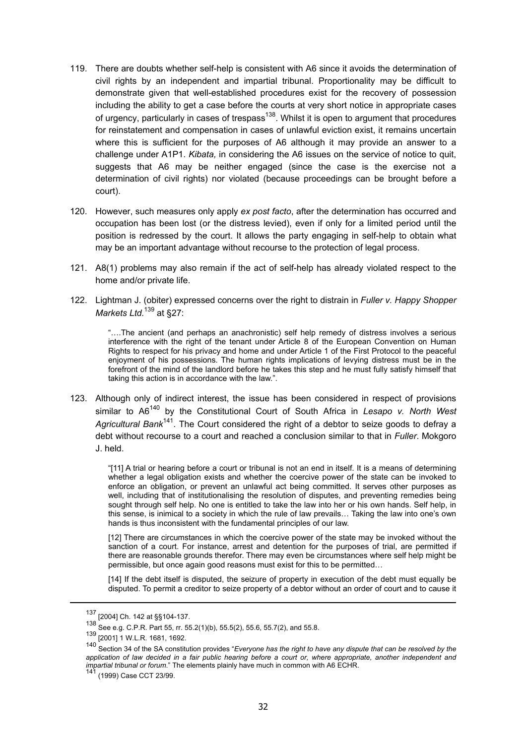- 119. There are doubts whether self-help is consistent with A6 since it avoids the determination of civil rights by an independent and impartial tribunal. Proportionality may be difficult to demonstrate given that well-established procedures exist for the recovery of possession including the ability to get a case before the courts at very short notice in appropriate cases of urgency, particularly in cases of trespass<sup>138</sup>. Whilst it is open to argument that procedures for reinstatement and compensation in cases of unlawful eviction exist, it remains uncertain where this is sufficient for the purposes of A6 although it may provide an answer to a challenge under A1P1. *Kibata,* in considering the A6 issues on the service of notice to quit, suggests that A6 may be neither engaged (since the case is the exercise not a determination of civil rights) nor violated (because proceedings can be brought before a court).
- 120. However, such measures only apply *ex post facto*, after the determination has occurred and occupation has been lost (or the distress levied), even if only for a limited period until the position is redressed by the court. It allows the party engaging in self-help to obtain what may be an important advantage without recourse to the protection of legal process.
- 121. A8(1) problems may also remain if the act of self-help has already violated respect to the home and/or private life.
- 122. Lightman J. (obiter) expressed concerns over the right to distrain in *Fuller v. Happy Shopper Markets Ltd.*<sup>139</sup> at §27:

"….The ancient (and perhaps an anachronistic) self help remedy of distress involves a serious interference with the right of the tenant under Article 8 of the European Convention on Human Rights to respect for his privacy and home and under Article 1 of the First Protocol to the peaceful enjoyment of his possessions. The human rights implications of levying distress must be in the forefront of the mind of the landlord before he takes this step and he must fully satisfy himself that taking this action is in accordance with the law.".

123. Although only of indirect interest, the issue has been considered in respect of provisions similar to A6140 by the Constitutional Court of South Africa in *Lesapo v. North West*  Agricultural Bank<sup>141</sup>. The Court considered the right of a debtor to seize goods to defray a debt without recourse to a court and reached a conclusion similar to that in *Fuller*. Mokgoro J. held.

"[11] A trial or hearing before a court or tribunal is not an end in itself. It is a means of determining whether a legal obligation exists and whether the coercive power of the state can be invoked to enforce an obligation, or prevent an unlawful act being committed. It serves other purposes as well, including that of institutionalising the resolution of disputes, and preventing remedies being sought through self help. No one is entitled to take the law into her or his own hands. Self help, in this sense, is inimical to a society in which the rule of law prevails… Taking the law into one's own hands is thus inconsistent with the fundamental principles of our law.

[12] There are circumstances in which the coercive power of the state may be invoked without the sanction of a court. For instance, arrest and detention for the purposes of trial, are permitted if there are reasonable grounds therefor. There may even be circumstances where self help might be permissible, but once again good reasons must exist for this to be permitted…

[14] If the debt itself is disputed, the seizure of property in execution of the debt must equally be disputed. To permit a creditor to seize property of a debtor without an order of court and to cause it

<sup>137 [2004]</sup> Ch. 142 at §§104-137.

<sup>138</sup> See e.g. C.P.R. Part 55, rr. 55.2(1)(b), 55.5(2), 55.6, 55.7(2), and 55.8.

<sup>139 [2001] 1</sup> W.L.R. 1681, 1692.

<sup>140</sup> Section 34 of the SA constitution provides "*Everyone has the right to have any dispute that can be resolved by the*  application of law decided in a fair public hearing before a court or, where appropriate, another independent and *impartial tribunal or forum*." The elements plainly have much in common with A6 ECHR. 141 (1999) Case CCT 23/99.